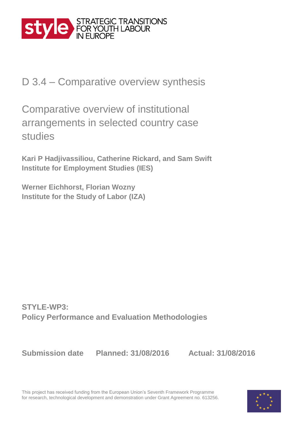

D 3.4 – Comparative overview synthesis

Comparative overview of institutional arrangements in selected country case studies

**Kari P Hadjivassiliou, Catherine Rickard, and Sam Swift Institute for Employment Studies (IES)**

**Werner Eichhorst, Florian Wozny Institute for the Study of Labor (IZA)**

**STYLE-WP3: Policy Performance and Evaluation Methodologies** 

**Submission date Planned: 31/08/2016 Actual: 31/08/2016**

This project has received funding from the European Union's Seventh Framework Programme for research, technological development and demonstration under Grant Agreement no. 613256.

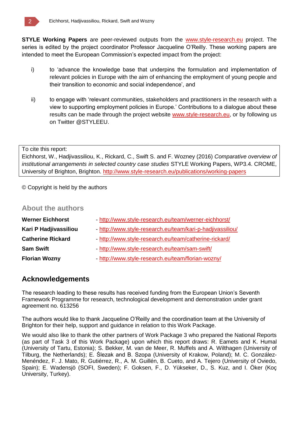

**STYLE Working Papers** are peer-reviewed outputs from the www.style-research.eu project. The series is edited by the project coordinator Professor Jacqueline O'Reilly. These working papers are intended to meet the European Commission's expected impact from the project:

- i) to 'advance the knowledge base that underpins the formulation and implementation of relevant policies in Europe with the aim of enhancing the employment of young people and their transition to economic and social independence', and
- ii) to engage with 'relevant communities, stakeholders and practitioners in the research with a view to supporting employment policies in Europe.' Contributions to a dialogue about these results can be made through the project website www.style-research.eu, or by following us on Twitter @STYLEEU.

#### To cite this report:

Eichhorst, W., Hadjivassiliou, K., Rickard, C., Swift S. and F. Wozney (2016) *Comparative overview of institutional arrangements in selected country case studies* STYLE Working Papers, WP3.4. CROME, University of Brighton, Brighton. http://www.style-research.eu/publications/working-papers

© Copyright is held by the authors

### **About the authors**

| <b>Werner Eichhorst</b>  | - http://www.style-research.eu/team/werner-eichhorst/      |
|--------------------------|------------------------------------------------------------|
| Kari P Hadjivassiliou    | - http://www.style-research.eu/team/kari-p-hadjivassiliou/ |
| <b>Catherine Rickard</b> | - http://www.style-research.eu/team/catherine-rickard/     |
| <b>Sam Swift</b>         | - http://www.style-research.eu/team/sam-swift/             |
| <b>Florian Wozny</b>     | - http://www.style-research.eu/team/florian-wozny/         |

### **Acknowledgements**

The research leading to these results has received funding from the European Union's Seventh Framework Programme for research, technological development and demonstration under grant agreement no. 613256

The authors would like to thank Jacqueline O'Reilly and the coordination team at the University of Brighton for their help, support and guidance in relation to this Work Package.

We would also like to thank the other partners of Work Package 3 who prepared the National Reports (as part of Task 3 of this Work Package) upon which this report draws: R. Eamets and K. Humal (University of Tartu, Estonia); S. Bekker, M. van de Meer, R. Muffels and A. Wilthagen (University of Tilburg, the Netherlands); E. Ślezak and B. Szopa (University of Krakow, Poland); M. C. González-Menéndez, F. J. Mato, R. Gutiérrez, R., A. M. Guillén, B. Cueto, and A. Tejero (University of Oviedo, Spain); E. Wadensjö (SOFI, Sweden); F. Goksen, F., D. Yükseker, D., S. Kuz, and I. Öker (Koç University, Turkey).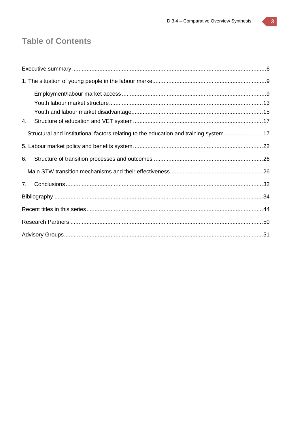## **Table of Contents**

| 4.                                                                                    |  |
|---------------------------------------------------------------------------------------|--|
| Structural and institutional factors relating to the education and training system 17 |  |
|                                                                                       |  |
| 6.                                                                                    |  |
|                                                                                       |  |
| $7_{\scriptscriptstyle{\sim}}$                                                        |  |
|                                                                                       |  |
|                                                                                       |  |
|                                                                                       |  |
|                                                                                       |  |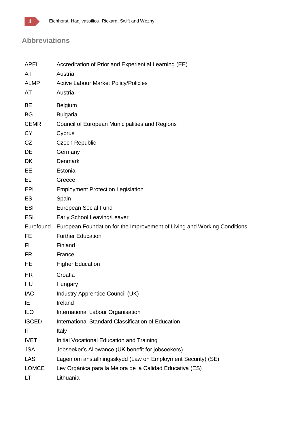

## **Abbreviations**

| <b>APEL</b>  | Accreditation of Prior and Experiential Learning (EE)                    |
|--------------|--------------------------------------------------------------------------|
| AT           | Austria                                                                  |
| <b>ALMP</b>  | <b>Active Labour Market Policy/Policies</b>                              |
| AT           | Austria                                                                  |
| BE           | Belgium                                                                  |
| <b>BG</b>    | <b>Bulgaria</b>                                                          |
| <b>CEMR</b>  | Council of European Municipalities and Regions                           |
| <b>CY</b>    | Cyprus                                                                   |
| CZ           | <b>Czech Republic</b>                                                    |
| DE           | Germany                                                                  |
| <b>DK</b>    | <b>Denmark</b>                                                           |
| EE           | Estonia                                                                  |
| EL.          | Greece                                                                   |
| EPL          | <b>Employment Protection Legislation</b>                                 |
| <b>ES</b>    | Spain                                                                    |
| <b>ESF</b>   | European Social Fund                                                     |
| <b>ESL</b>   | Early School Leaving/Leaver                                              |
| Eurofound    | European Foundation for the Improvement of Living and Working Conditions |
| <b>FE</b>    | <b>Further Education</b>                                                 |
| FI.          | Finland                                                                  |
| <b>FR</b>    | France                                                                   |
| HE           | <b>Higher Education</b>                                                  |
| <b>HR</b>    | Croatia                                                                  |
| HU           | Hungary                                                                  |
| <b>IAC</b>   | Industry Apprentice Council (UK)                                         |
| IE           | Ireland                                                                  |
| <b>ILO</b>   | International Labour Organisation                                        |
| <b>ISCED</b> | International Standard Classification of Education                       |
| IT           | Italy                                                                    |
| <b>IVET</b>  | Initial Vocational Education and Training                                |
| <b>JSA</b>   | Jobseeker's Allowance (UK benefit for jobseekers)                        |
| <b>LAS</b>   | Lagen om anställningsskydd (Law on Employment Security) (SE)             |
| <b>LOMCE</b> | Ley Orgánica para la Mejora de la Calidad Educativa (ES)                 |
| LT           | Lithuania                                                                |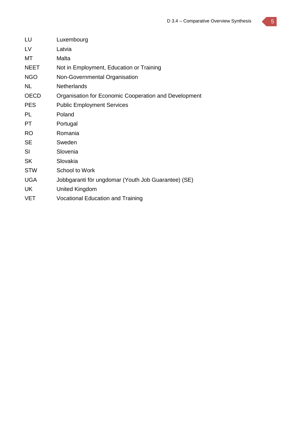| LU          | Luxembourg                                            |
|-------------|-------------------------------------------------------|
| LV          | Latvia                                                |
| МT          | Malta                                                 |
| <b>NEET</b> | Not in Employment, Education or Training              |
| <b>NGO</b>  | Non-Governmental Organisation                         |
| <b>NL</b>   | <b>Netherlands</b>                                    |
| <b>OECD</b> | Organisation for Economic Cooperation and Development |
| <b>PES</b>  | <b>Public Employment Services</b>                     |
| PL          | Poland                                                |
| PT          | Portugal                                              |
| <b>RO</b>   | Romania                                               |
| <b>SE</b>   | Sweden                                                |
| SI          | Slovenia                                              |
| <b>SK</b>   | Slovakia                                              |
| <b>STW</b>  | School to Work                                        |
| <b>UGA</b>  | Jobbgaranti för ungdomar (Youth Job Guarantee) (SE)   |
| UK          | United Kingdom                                        |
| VET         | <b>Vocational Education and Training</b>              |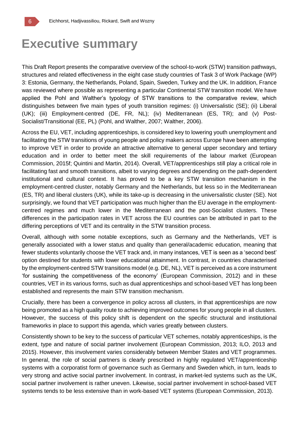

## **Executive summary**

This Draft Report presents the comparative overview of the school-to-work (STW) transition pathways, structures and related effectiveness in the eight case study countries of Task 3 of Work Package (WP) 3: Estonia, Germany, the Netherlands, Poland, Spain, Sweden, Turkey and the UK. In addition, France was reviewed where possible as representing a particular Continental STW transition model. We have applied the Pohl and Walther's typology of STW transitions to the comparative review, which distinguishes between five main types of youth transition regimes: (i) Universalistic (SE); (ii) Liberal (UK); (iii) Employment-centred (DE, FR, NL); (iv) Mediterranean (ES, TR); and (v) Post-Socialist/Transitional (EE, PL) (Pohl, and Walther, 2007; Walther, 2006).

Across the EU, VET, including apprenticeships, is considered key to lowering youth unemployment and facilitating the STW transitions of young people and policy makers across Europe have been attempting to improve VET in order to provide an attractive alternative to general upper secondary and tertiary education and in order to better meet the skill requirements of the labour market (European Commission, 2015f; Quintini and Martin, 2014). Overall, VET/apprenticeships still play a critical role in facilitating fast and smooth transitions, albeit to varying degrees and depending on the path-dependent institutional and cultural context. It has proved to be a key STW transition mechanism in the employment-centred cluster, notably Germany and the Netherlands, but less so in the Mediterranean (ES, TR) and liberal clusters (UK), while its take-up is decreasing in the universalistic cluster (SE). Not surprisingly, we found that VET participation was much higher than the EU average in the employmentcentred regimes and much lower in the Mediterranean and the post-Socialist clusters. These differences in the participation rates in VET across the EU countries can be attributed in part to the differing perceptions of VET and its centrality in the STW transition process.

Overall, although with some notable exceptions, such as Germany and the Netherlands, VET is generally associated with a lower status and quality than general/academic education, meaning that fewer students voluntarily choose the VET track and, in many instances, VET is seen as a 'second best' option destined for students with lower educational attainment. In contrast, in countries characterised by the employment-centred STW transitions model (e.g. DE, NL), VET is perceived as a core instrument 'for sustaining the competitiveness of the economy' (European Commission, 2012) and in these countries, VET in its various forms, such as dual apprenticeships and school-based VET has long been established and represents the main STW transition mechanism.

Crucially, there has been a convergence in policy across all clusters, in that apprenticeships are now being promoted as a high quality route to achieving improved outcomes for young people in all clusters. However, the success of this policy shift is dependent on the specific structural and institutional frameworks in place to support this agenda, which varies greatly between clusters.

Consistently shown to be key to the success of particular VET schemes, notably apprenticeships, is the extent, type and nature of social partner involvement (European Commission, 2013; ILO, 2013 and 2015). However, this involvement varies considerably between Member States and VET programmes. In general, the role of social partners is clearly prescribed in highly regulated VET/apprenticeship systems with a corporatist form of governance such as Germany and Sweden which, in turn, leads to very strong and active social partner involvement. In contrast, in market-led systems such as the UK, social partner involvement is rather uneven. Likewise, social partner involvement in school-based VET systems tends to be less extensive than in work-based VET systems (European Commission, 2013).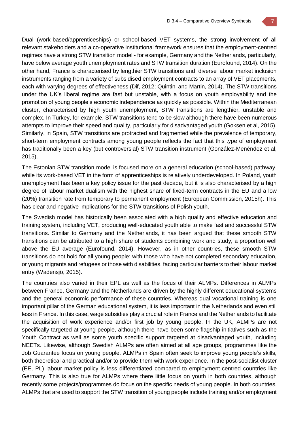Dual (work-based/apprenticeships) or school-based VET systems, the strong involvement of all relevant stakeholders and a co-operative institutional framework ensures that the employment-centred regimes have a strong STW transition model - for example, Germany and the Netherlands, particularly, have below average youth unemployment rates and STW transition duration (Eurofound, 2014). On the other hand, France is characterised by lengthier STW transitions and diverse labour market inclusion instruments ranging from a variety of subsidised employment contracts to an array of VET placements, each with varying degrees of effectiveness (Dif, 2012; Quintini and Martin, 2014). The STW transitions under the UK's liberal regime are fast but unstable, with a focus on youth employability and the promotion of young people's economic independence as quickly as possible. Within the Mediterranean cluster, characterised by high youth unemployment, STW transitions are lengthier, unstable and complex. In Turkey, for example, STW transitions tend to be slow although there have been numerous attempts to improve their speed and quality, particularly for disadvantaged youth (Goksen et al, 2015). Similarly, in Spain, STW transitions are protracted and fragmented while the prevalence of temporary, short-term employment contracts among young people reflects the fact that this type of employment has traditionally been a key (but controversial) STW transition instrument (González-Menéndez et al, 2015).

The Estonian STW transition model is focused more on a general education (school-based) pathway, while its work-based VET in the form of apprenticeships is relatively underdeveloped. In Poland, youth unemployment has been a key policy issue for the past decade, but it is also characterised by a high degree of labour market dualism with the highest share of fixed-term contracts in the EU and a low (20%) transition rate from temporary to permanent employment (European Commission, 2015h). This has clear and negative implications for the STW transitions of Polish youth.

The Swedish model has historically been associated with a high quality and effective education and training system, including VET, producing well-educated youth able to make fast and successful STW transitions. Similar to Germany and the Netherlands, it has been argued that these smooth STW transitions can be attributed to a high share of students combining work and study, a proportion well above the EU average (Eurofound, 2014). However, as in other countries, these smooth STW transitions do not hold for all young people; with those who have not completed secondary education, or young migrants and refugees or those with disabilities, facing particular barriers to their labour market entry (Wadensjö, 2015).

The countries also varied in their EPL as well as the focus of their ALMPs. Differences in ALMPs between France, Germany and the Netherlands are driven by the highly different educational systems and the general economic performance of these countries. Whereas dual vocational training is one important pillar of the German educational system, it is less important in the Netherlands and even still less in France. In this case, wage subsidies play a crucial role in France and the Netherlands to facilitate the acquisition of work experience and/or first job by young people. In the UK, ALMPs are not specifically targeted at young people, although there have been some flagship initiatives such as the Youth Contract as well as some youth specific support targeted at disadvantaged youth, including NEETs. Likewise, although Swedish ALMPs are often aimed at all age groups, programmes like the Job Guarantee focus on young people. ALMPs in Spain often seek to improve young people's skills, both theoretical and practical and/or to provide them with work experience. In the post-socialist cluster (EE, PL) labour market policy is less differentiated compared to employment-centred countries like Germany. This is also true for ALMPs where there little focus on youth in both countries, although recently some projects/programmes do focus on the specific needs of young people. In both countries, ALMPs that are used to support the STW transition of young people include training and/or employment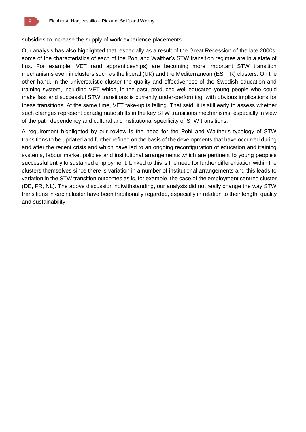subsidies to increase the supply of work experience placements.

Our analysis has also highlighted that, especially as a result of the Great Recession of the late 2000s, some of the characteristics of each of the Pohl and Walther's STW transition regimes are in a state of flux. For example, VET (and apprenticeships) are becoming more important STW transition mechanisms even in clusters such as the liberal (UK) and the Mediterranean (ES, TR) clusters. On the other hand, in the universalistic cluster the quality and effectiveness of the Swedish education and training system, including VET which, in the past, produced well-educated young people who could make fast and successful STW transitions is currently under-performing, with obvious implications for these transitions. At the same time, VET take-up is falling. That said, it is still early to assess whether such changes represent paradigmatic shifts in the key STW transitions mechanisms, especially in view of the path dependency and cultural and institutional specificity of STW transitions.

A requirement highlighted by our review is the need for the Pohl and Walther's typology of STW transitions to be updated and further refined on the basis of the developments that have occurred during and after the recent crisis and which have led to an ongoing reconfiguration of education and training systems, labour market policies and institutional arrangements which are pertinent to young people's successful entry to sustained employment. Linked to this is the need for further differentiation within the clusters themselves since there is variation in a number of institutional arrangements and this leads to variation in the STW transition outcomes as is, for example, the case of the employment centred cluster (DE, FR, NL). The above discussion notwithstanding, our analysis did not really change the way STW transitions in each cluster have been traditionally regarded, especially in relation to their length, quality and sustainability.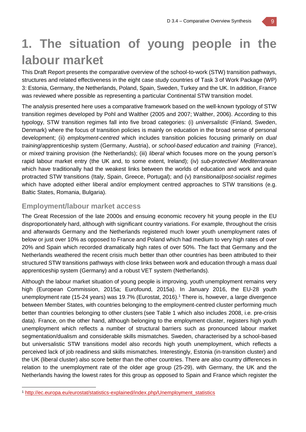## **1. The situation of young people in the labour market**

This Draft Report presents the comparative overview of the school-to-work (STW) transition pathways, structures and related effectiveness in the eight case study countries of Task 3 of Work Package (WP) 3: Estonia, Germany, the Netherlands, Poland, Spain, Sweden, Turkey and the UK. In addition, France was reviewed where possible as representing a particular Continental STW transition model.

The analysis presented here uses a comparative framework based on the well-known typology of STW transition regimes developed by Pohl and Walther (2005 and 2007; Walther, 2006). According to this typology, STW transition regimes fall into five broad categories: (i) *universalistic* (Finland, Sweden, Denmark) where the focus of transition policies is mainly on education in the broad sense of personal development; (ii) *employment-centred* which includes transition policies focusing primarily on *dual training*/apprenticeship system (Germany, Austria), or *school-based education and training* (France), or *mixed* training provision (the Netherlands); (iii) *liberal* which focuses more on the young person's rapid labour market entry (the UK and, to some extent, Ireland); (iv) *sub-protective/ Mediterranean* which have traditionally had the weakest links between the worlds of education and work and quite protracted STW transitions (Italy, Spain, Greece, Portugal); and (v) *transitional/post-socialist regimes*  which have adopted either liberal and/or employment centred approaches to STW transitions (e.g. Baltic States, Romania, Bulgaria).

### **Employment/labour market access**

The Great Recession of the late 2000s and ensuing economic recovery hit young people in the EU disproportionately hard, although with significant country variations. For example, throughout the crisis and afterwards Germany and the Netherlands registered much lower youth unemployment rates of below or just over 10% as opposed to France and Poland which had medium to very high rates of over 20% and Spain which recorded dramatically high rates of over 50%. The fact that Germany and the Netherlands weathered the recent crisis much better than other countries has been attributed to their structured STW transitions pathways with close links between work and education through a mass dual apprenticeship system (Germany) and a robust VET system (Netherlands).

Although the labour market situation of young people is improving, youth unemployment remains very high (European Commission, 2015a; Eurofound, 2015a). In January 2016, the EU-28 youth unemployment rate (15-24 years) was 19.7% (Eurostat, 2016). <sup>1</sup> There is, however, a large divergence between Member States, with countries belonging to the employment-centred cluster performing much better than countries belonging to other clusters (see Table 1 which also includes 2008, i.e. pre-crisis data). France, on the other hand, although belonging to the employment cluster, registers high youth unemployment which reflects a number of structural barriers such as pronounced labour market segmentation/dualism and considerable skills mismatches. Sweden, characterised by a school-based but universalistic STW transitions model also records high youth unemployment, which reflects a perceived lack of job readiness and skills mismatches. Interestingly, Estonia (in-transition cluster) and the UK (liberal cluster) also score better than the other countries. There are also country differences in relation to the unemployment rate of the older age group (25-29), with Germany, the UK and the Netherlands having the lowest rates for this group as opposed to Spain and France which register the

<sup>1</sup> http://ec.europa.eu/eurostat/statistics-explained/index.php/Unemployment\_statistics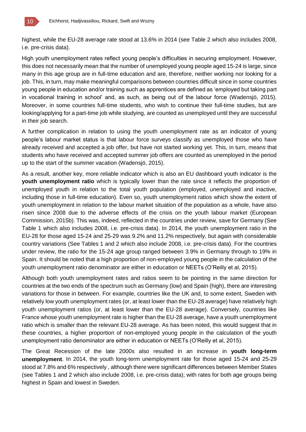

highest, while the EU-28 average rate stood at 13.6% in 2014 (see Table 2 which also includes 2008, i.e. pre-crisis data).

High youth unemployment rates reflect young people's difficulties in securing employment. However, this does not necessarily mean that the number of unemployed young people aged 15-24 is large, since many in this age group are in full-time education and are, therefore, neither working nor looking for a job. This, in turn, may make meaningful comparisons between countries difficult since in some countries young people in education and/or training such as apprentices are defined as 'employed but taking part in vocational training in school' and, as such, as being out of the labour force (Wadensjö, 2015). Moreover, in some countries full-time students, who wish to continue their full-time studies, but are looking/applying for a part-time job while studying, are counted as unemployed until they are successful in their job search.

A further complication in relation to using the youth unemployment rate as an indicator of young people's labour market status is that labour force surveys classify as unemployed those who have already received and accepted a job offer, but have not started working yet. This, in turn, means that students who have received and accepted summer job offers are counted as unemployed in the period up to the start of the summer vacation (Wadensjö, 2015).

As a result, another key, more reliable indicator which is also an EU dashboard youth indicator is the **youth unemployment ratio** which is typically lower than the rate since it reflects the proportion of unemployed youth in relation to the total youth population (employed, unemployed and inactive, including those in full-time education). Even so, youth unemployment ratios which show the extent of youth unemployment in relation to the labour market situation of the population as a whole, have also risen since 2008 due to the adverse effects of the crisis on the youth labour market (European Commission, 2015b). This was, indeed, reflected in the countries under review, save for Germany (See Table 1 which also includes 2008, i.e. pre-crisis data). In 2014, the youth unemployment ratio in the EU-28 for those aged 15-24 and 25-29 was 9.2% and 11.2% respectively, but again with considerable country variations (See Tables 1 and 2 which also include 2008, i.e. pre-crisis data). For the countries under review, the ratio for the 15-24 age group ranged between 3.9% in Germany through to 19% in Spain. It should be noted that a high proportion of non-employed young people in the calculation of the youth unemployment ratio denominator are either in education or NEETs (O'Reilly et al, 2015).

Although both youth unemployment rates and ratios seem to be pointing in the same direction for countries at the two ends of the spectrum such as Germany (low) and Spain (high), there are interesting variations for those in between. For example, countries like the UK and, to some extent, Sweden with relatively low youth unemployment rates (or, at least lower than the EU-28 average) have relatively high youth unemployment ratios (or, at least lower than the EU-28 average). Conversely, countries like France whose youth unemployment rate is higher than the EU-28 average, have a youth unemployment ratio which is smaller than the relevant EU-28 average. As has been noted, this would suggest that in these countries, a higher proportion of non-employed young people in the calculation of the youth unemployment ratio denominator are either in education or NEETs (O'Reilly et al, 2015).

The Great Recession of the late 2000s also resulted in an increase in **youth long-term unemployment**. In 2014, the youth long-term unemployment rate for those aged 15-24 and 25-29 stood at 7.8% and 6% respectively , although there were significant differences between Member States (see Tables 1 and 2 which also include 2008, i.e. pre-crisis data); with rates for both age groups being highest in Spain and lowest in Sweden.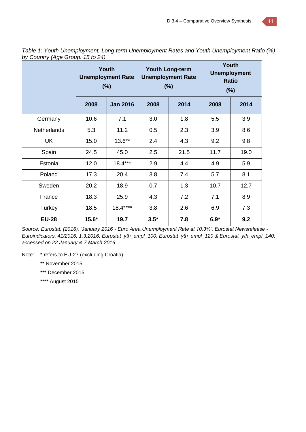|                    | Youth<br><b>Unemployment Rate</b><br>(%)<br>2008<br><b>Jan 2016</b> |           |        | <b>Youth Long-term</b><br><b>Unemployment Rate</b><br>(%) | Youth<br><b>Unemployment</b><br><b>Ratio</b><br>$(\%)$ |      |  |
|--------------------|---------------------------------------------------------------------|-----------|--------|-----------------------------------------------------------|--------------------------------------------------------|------|--|
|                    |                                                                     |           | 2008   | 2014                                                      | 2008                                                   | 2014 |  |
| Germany            | 10.6                                                                | 7.1       | 3.0    | 1.8                                                       | 5.5                                                    | 3.9  |  |
| <b>Netherlands</b> | 5.3                                                                 | 11.2      | 0.5    | 2.3                                                       | 3.9                                                    | 8.6  |  |
| UK                 | 15.0                                                                | $13.6***$ | 2.4    | 4.3                                                       | 9.2                                                    | 9.8  |  |
| Spain              | 24.5                                                                | 45.0      | 2.5    | 21.5                                                      | 11.7                                                   | 19.0 |  |
| Estonia            | 12.0                                                                | $18.4***$ | 2.9    | 4.4                                                       | 4.9                                                    | 5.9  |  |
| Poland             | 17.3                                                                | 20.4      | 3.8    | 7.4                                                       | 5.7                                                    | 8.1  |  |
| Sweden             | 20.2                                                                | 18.9      | 0.7    | 1.3                                                       | 10.7                                                   | 12.7 |  |
| France             | 18.3                                                                | 25.9      | 4.3    | 7.2                                                       | 7.1                                                    | 8.9  |  |
| Turkey             | 18.5                                                                | $18.4***$ | 3.8    | 2.6                                                       | 6.9                                                    | 7.3  |  |
| <b>EU-28</b>       | $15.6*$                                                             | 19.7      | $3.5*$ | 7.8                                                       | $6.9*$                                                 | 9.2  |  |

*Table 1: Youth Unemployment, Long-term Unemployment Rates and Youth Unemployment Ratio (%) by Country (Age Group: 15 to 24)*

*Source: Eurostat, (2016). 'January 2016 - Euro Area Unemployment Rate at 10.3%', Eurostat Newsrelease - Euroindicators, 41/2016, 1.3.2016; Eurostat yth\_empl\_100; Eurostat yth\_empl\_120 & Eurostat yth\_empl\_140; accessed on 22 January & 7 March 2016*

Note: \* refers to EU-27 (excluding Croatia)

\*\* November 2015

\*\*\* December 2015

\*\*\*\* August 2015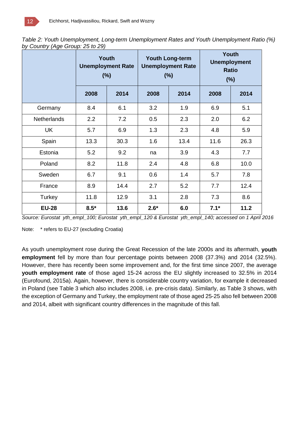*Table 2: Youth Unemployment, Long-term Unemployment Rates and Youth Unemployment Ratio (%) by Country (Age Group: 25 to 29)*

|                    | Youth<br><b>Unemployment Rate</b><br>(%) |      | (%)    | <b>Youth Long-term</b><br><b>Unemployment Rate</b> | <b>Youth</b><br><b>Unemployment</b><br><b>Ratio</b><br>(%) |      |  |
|--------------------|------------------------------------------|------|--------|----------------------------------------------------|------------------------------------------------------------|------|--|
|                    | 2008                                     | 2014 | 2008   | 2014                                               | 2008                                                       | 2014 |  |
| Germany            | 8.4                                      | 6.1  | 3.2    | 1.9                                                | 6.9                                                        | 5.1  |  |
| <b>Netherlands</b> | 2.2                                      | 7.2  | 0.5    | 2.3                                                | 2.0                                                        | 6.2  |  |
| <b>UK</b>          | 5.7                                      | 6.9  | 1.3    | 2.3                                                | 4.8                                                        | 5.9  |  |
| Spain              | 13.3                                     | 30.3 | 1.6    | 13.4                                               | 11.6                                                       | 26.3 |  |
| Estonia            | 5.2                                      | 9.2  | na     | 3.9                                                | 4.3                                                        | 7.7  |  |
| Poland             | 8.2                                      | 11.8 | 2.4    | 4.8                                                | 6.8                                                        | 10.0 |  |
| Sweden             | 6.7                                      | 9.1  | 0.6    | 1.4                                                | 5.7                                                        | 7.8  |  |
| France             | 8.9                                      | 14.4 | 2.7    | 5.2                                                | 7.7                                                        | 12.4 |  |
| Turkey             | 11.8                                     | 12.9 | 3.1    | 2.8                                                | 7.3                                                        | 8.6  |  |
| <b>EU-28</b>       | $8.5*$                                   | 13.6 | $2.6*$ | 6.0                                                | $7.1*$                                                     | 11.2 |  |

*Source: Eurostat yth\_empl\_100; Eurostat yth\_empl\_120 & Eurostat yth\_empl\_140; accessed on 1 April 2016*

Note: \* refers to EU-27 (excluding Croatia)

As youth unemployment rose during the Great Recession of the late 2000s and its aftermath, **youth employment** fell by more than four percentage points between 2008 (37.3%) and 2014 (32.5%). However, there has recently been some improvement and, for the first time since 2007, the average **youth employment rate** of those aged 15-24 across the EU slightly increased to 32.5% in 2014 (Eurofound, 2015a). Again, however, there is considerable country variation, for example it decreased in Poland (see Table 3 which also includes 2008, i.e. pre-crisis data). Similarly, as Table 3 shows, with the exception of Germany and Turkey, the employment rate of those aged 25-25 also fell between 2008 and 2014, albeit with significant country differences in the magnitude of this fall.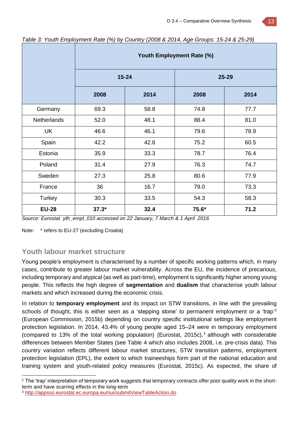|                    | Youth Employment Rate (%) |      |       |       |  |  |  |  |
|--------------------|---------------------------|------|-------|-------|--|--|--|--|
|                    | $15 - 24$                 |      |       | 25-29 |  |  |  |  |
|                    | 2008                      | 2014 | 2008  | 2014  |  |  |  |  |
| Germany            | 69.3                      | 58.8 | 74.8  | 77.7  |  |  |  |  |
| <b>Netherlands</b> | 52.0                      | 48.1 | 88.4  | 81.0  |  |  |  |  |
| UK                 | 46.6                      | 46.1 | 79.6  | 78.9  |  |  |  |  |
| Spain              | 42.2                      | 42.8 | 75.2  | 60.5  |  |  |  |  |
| Estonia            | 35.9                      | 33.3 | 78.7  | 76.4  |  |  |  |  |
| Poland             | 31.4                      | 27.9 | 76.3  | 74.7  |  |  |  |  |
| Sweden             | 27.3                      | 25.8 | 80.6  | 77.9  |  |  |  |  |
| France             | 36                        | 16.7 | 79.0  | 73.3  |  |  |  |  |
| Turkey             | 30.3                      | 33.5 | 54.3  | 58.3  |  |  |  |  |
| <b>EU-28</b>       | $37.3*$                   | 32.4 | 75.6* | 71.2  |  |  |  |  |

*Table 3: Youth Employment Rate (%) by Country (2008 & 2014, Age Groups: 15-24 & 25-29)*

*Source: Eurostat yth\_empl\_010 accessed on 22 January, 7 March & 1 April 2016*

Note: \* refers to EU-27 (excluding Croatia)

## **Youth labour market structure**

Young people's employment is characterised by a number of specific working patterns which, in many cases, contribute to greater labour market vulnerability. Across the EU, the incidence of precarious, including temporary and atypical (as well as part-time), employment is significantly higher among young people. This reflects the high degree of **segmentation** and **dualism** that characterise youth labour markets and which increased during the economic crisis.

In relation to **temporary employment** and its impact on STW transitions, in line with the prevailing schools of thought, this is either seen as a 'stepping stone' to permanent employment or a 'trap'<sup>2</sup> (European Commission, 2015b) depending on country specific institutional settings like employment protection legislation. In 2014, 43.4% of young people aged 15–24 were in temporary employment (compared to 13% of the total working population) (Eurostat, 2015c),<sup>3</sup> although with considerable differences between Member States (see Table 4 which also includes 2008, i.e. pre-crisis data). This country variation reflects different labour market structures, STW transition patterns, employment protection legislation (EPL), the extent to which traineeships form part of the national education and training system and youth-related policy measures (Eurostat, 2015c). As expected, the share of

<sup>&</sup>lt;sup>2</sup> The 'trap' interpretation of temporary work suggests that temporary contracts offer poor quality work in the shortterm and have scarring effects in the long-term

<sup>3</sup> http://appsso.eurostat.ec.europa.eu/nui/submitViewTableAction.do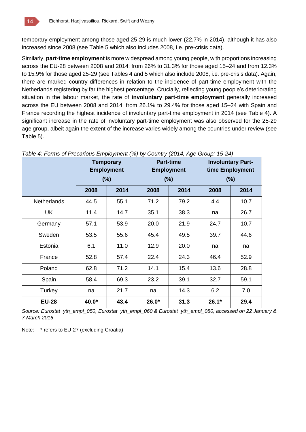temporary employment among those aged 25-29 is much lower (22.7% in 2014), although it has also increased since 2008 (see Table 5 which also includes 2008, i.e. pre-crisis data).

Similarly, **part-time employment** is more widespread among young people, with proportions increasing across the EU-28 between 2008 and 2014: from 26% to 31.3% for those aged 15–24 and from 12.3% to 15.9% for those aged 25-29 (see Tables 4 and 5 which also include 2008, i.e. pre-crisis data). Again, there are marked country differences in relation to the incidence of part-time employment with the Netherlands registering by far the highest percentage. Crucially, reflecting young people's deteriorating situation in the labour market, the rate of **involuntary part-time employment** generally increased across the EU between 2008 and 2014: from 26.1% to 29.4% for those aged 15–24 with Spain and France recording the highest incidence of involuntary part-time employment in 2014 (see Table 4). A significant increase in the rate of involuntary part-time employment was also observed for the 25-29 age group, albeit again the extent of the increase varies widely among the countries under review (see Table 5).

|                    | <b>Temporary</b><br><b>Employment</b><br>(%) |      |         | <b>Part-time</b><br><b>Employment</b><br>(%) | <b>Involuntary Part-</b><br>time Employment<br>(% ) |      |  |
|--------------------|----------------------------------------------|------|---------|----------------------------------------------|-----------------------------------------------------|------|--|
|                    | 2008                                         | 2014 | 2008    | 2014                                         | 2008                                                | 2014 |  |
| <b>Netherlands</b> | 44.5                                         | 55.1 | 71.2    | 79.2                                         | 4.4                                                 | 10.7 |  |
| <b>UK</b>          | 11.4                                         | 14.7 | 35.1    | 38.3                                         | na                                                  | 26.7 |  |
| Germany            | 57.1                                         | 53.9 | 20.0    | 21.9                                         | 24.7                                                | 10.7 |  |
| Sweden             | 53.5                                         | 55.6 | 45.4    | 49.5                                         | 39.7                                                | 44.6 |  |
| Estonia            | 6.1                                          | 11.0 | 12.9    | 20.0                                         | na                                                  | na   |  |
| France             | 52.8                                         | 57.4 | 22.4    | 24.3                                         | 46.4                                                | 52.9 |  |
| Poland             | 62.8                                         | 71.2 | 14.1    | 15.4                                         | 13.6                                                | 28.8 |  |
| Spain              | 58.4                                         | 69.3 | 23.2    | 39.1                                         | 32.7                                                | 59.1 |  |
| Turkey             | na                                           | 21.7 | na      | 14.3                                         | 6.2                                                 | 7.0  |  |
| <b>EU-28</b>       | 40.0*                                        | 43.4 | $26.0*$ | 31.3                                         | $26.1*$                                             | 29.4 |  |

| Table 4: Forms of Precarious Employment (%) by Country (2014, Age Group: 15-24) |  |  |  |  |
|---------------------------------------------------------------------------------|--|--|--|--|
|                                                                                 |  |  |  |  |

*Source: Eurostat yth\_empl\_050, Eurostat yth\_empl\_060 & Eurostat yth\_empl\_080; accessed on 22 January & 7 March 2016*

Note: \* refers to EU-27 (excluding Croatia)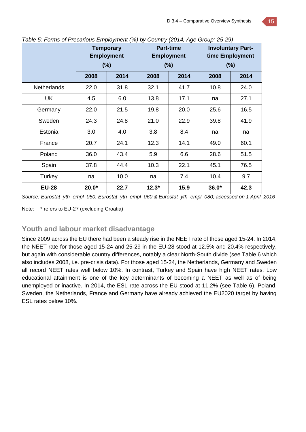|                    | <b>Temporary</b><br><b>Employment</b><br>(%) |      |         | <b>Part-time</b><br><b>Employment</b><br>(%) | <b>Involuntary Part-</b><br>time Employment<br>$(\%)$ |      |  |
|--------------------|----------------------------------------------|------|---------|----------------------------------------------|-------------------------------------------------------|------|--|
|                    | 2008                                         | 2014 | 2008    | 2014                                         | 2008                                                  | 2014 |  |
| <b>Netherlands</b> | 22.0                                         | 31.8 | 32.1    | 41.7                                         | 10.8                                                  | 24.0 |  |
| <b>UK</b>          | 4.5                                          | 6.0  | 13.8    | 17.1                                         | na                                                    | 27.1 |  |
| Germany            | 22.0                                         | 21.5 | 19.8    | 20.0                                         | 25.6                                                  | 16.5 |  |
| Sweden             | 24.3                                         | 24.8 | 21.0    | 22.9                                         | 39.8                                                  | 41.9 |  |
| Estonia            | 3.0                                          | 4.0  | 3.8     | 8.4                                          | na                                                    | na   |  |
| France             | 20.7                                         | 24.1 | 12.3    | 14.1                                         | 49.0                                                  | 60.1 |  |
| Poland             | 36.0                                         | 43.4 | 5.9     | 6.6                                          | 28.6                                                  | 51.5 |  |
| Spain              | 37.8                                         | 44.4 | 10.3    | 22.1                                         | 45.1                                                  | 76.5 |  |
| Turkey             | na                                           | 10.0 | na      | 7.4                                          | 10.4                                                  | 9.7  |  |
| <b>EU-28</b>       | $20.0*$                                      | 22.7 | $12.3*$ | 15.9                                         | $36.0*$                                               | 42.3 |  |

*Table 5: Forms of Precarious Employment (%) by Country (2014, Age Group: 25-29)*

*Source: Eurostat yth\_empl\_050, Eurostat yth\_empl\_060 & Eurostat yth\_empl\_080; accessed on 1 April 2016*

Note: \* refers to EU-27 (excluding Croatia)

### **Youth and labour market disadvantage**

Since 2009 across the EU there had been a steady rise in the NEET rate of those aged 15-24. In 2014, the NEET rate for those aged 15-24 and 25-29 in the EU-28 stood at 12.5% and 20.4% respectively, but again with considerable country differences, notably a clear North-South divide (see Table 6 which also includes 2008, i.e. pre-crisis data). For those aged 15-24, the Netherlands, Germany and Sweden all record NEET rates well below 10%. In contrast, Turkey and Spain have high NEET rates. Low educational attainment is one of the key determinants of becoming a NEET as well as of being unemployed or inactive. In 2014, the ESL rate across the EU stood at 11.2% (see Table 6). Poland, Sweden, the Netherlands, France and Germany have already achieved the EU2020 target by having ESL rates below 10%.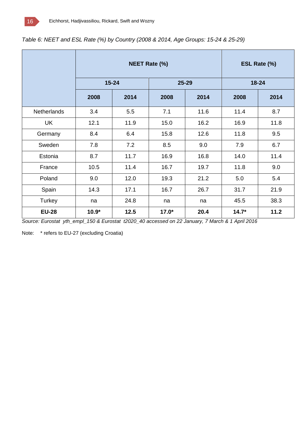|                    |         | <b>NEET Rate (%)</b> | ESL Rate (%) |       |         |           |  |
|--------------------|---------|----------------------|--------------|-------|---------|-----------|--|
|                    |         | $15 - 24$            |              | 25-29 |         | $18 - 24$ |  |
|                    | 2008    | 2014                 | 2008<br>2014 |       | 2008    | 2014      |  |
| <b>Netherlands</b> | 3.4     | 5.5                  | 7.1          | 11.6  | 11.4    | 8.7       |  |
| <b>UK</b>          | 12.1    | 11.9                 | 15.0         | 16.2  | 16.9    | 11.8      |  |
| Germany            | 8.4     | 6.4                  | 15.8         | 12.6  | 11.8    | 9.5       |  |
| Sweden             | 7.8     | 7.2                  | 8.5          | 9.0   | 7.9     | 6.7       |  |
| Estonia            | 8.7     | 11.7                 | 16.9         | 16.8  | 14.0    | 11.4      |  |
| France             | 10.5    | 11.4                 | 16.7         | 19.7  | 11.8    | 9.0       |  |
| Poland             | 9.0     | 12.0                 | 19.3         | 21.2  | 5.0     | 5.4       |  |
| Spain              | 14.3    | 17.1                 | 16.7         | 26.7  | 31.7    | 21.9      |  |
| Turkey             | na      | 24.8                 | na           | na    | 45.5    | 38.3      |  |
| <b>EU-28</b>       | $10.9*$ | 12.5                 | $17.0*$      | 20.4  | $14.7*$ | 11.2      |  |

### *Table 6: NEET and ESL Rate (%) by Country (2008 & 2014, Age Groups: 15-24 & 25-29)*

*Source: Eurostat yth\_empl\_150 & Eurostat t2020\_40 accessed on 22 January, 7 March & 1 April 2016*

Note: \* refers to EU-27 (excluding Croatia)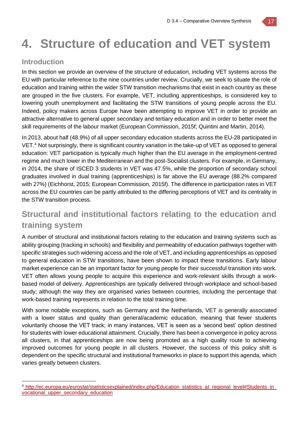# **4. Structure of education and VET system**

### **Introduction**

In this section we provide an overview of the structure of education, including VET systems across the EU with particular reference to the nine countries under review. Crucially, we seek to situate the role of education and training within the wider STW transition mechanisms that exist in each country as these are grouped in the five clusters. For example, VET, including apprenticeships, is considered key to lowering youth unemployment and facilitating the STW transitions of young people across the EU. Indeed, policy makers across Europe have been attempting to improve VET in order to provide an attractive alternative to general upper secondary and tertiary education and in order to better meet the skill requirements of the labour market (European Commission, 2015f; Quintini and Martin, 2014).

In 2013, about half (48.9%) of all upper secondary education students across the EU-28 participated in VET. <sup>4</sup> Not surprisingly, there is significant country variation in the take-up of VET as opposed to general education: VET participation is typically much higher than the EU average in the employment-centred regime and much lower in the Mediterranean and the post-Socialist clusters. For example, in Germany, in 2014, the share of ISCED 3 students in VET was 47.5%, while the proportion of secondary school graduates involved in dual training (apprenticeships) is far above the EU average (88.2% compared with 27%) (Eichhorst, 2015; European Commission, 2015f). The difference in participation rates in VET across the EU countries can be partly attributed to the differing perceptions of VET and its centrality in the STW transition process.

## **Structural and institutional factors relating to the education and training system**

A number of structural and institutional factors relating to the education and training systems such as ability grouping (tracking in schools) and flexibility and permeability of education pathways together with specific strategies such widening access and the role of VET, and including apprenticeships as opposed to general education in STW transitions, have been shown to impact these transitions. Early labour market experience can be an important factor for young people for their successful transition into work. VET often allows young people to acquire this experience and work-relevant skills through a workbased model of delivery. Apprenticeships are typically delivered through workplace and school-based study; although the way they are organised varies between countries, including the percentage that work-based training represents in relation to the total training time.

With some notable exceptions, such as Germany and the Netherlands, VET is generally associated with a lower status and quality than general/academic education, meaning that fewer students voluntarily choose the VET track; in many instances, VET is seen as a 'second best' option destined for students with lower educational attainment. Crucially, there has been a convergence in policy across all clusters, in that apprenticeships are now being promoted as a high quality route to achieving improved outcomes for young people in all clusters. However, the success of this policy shift is dependent on the specific structural and institutional frameworks in place to support this agenda, which varies greatly between clusters.

 <sup>4</sup> http://ec.europa.eu/eurostat/statisticsexplained/index.php/Education\_statistics\_at\_regional\_level#Students\_in\_ vocational\_upper\_secondary\_education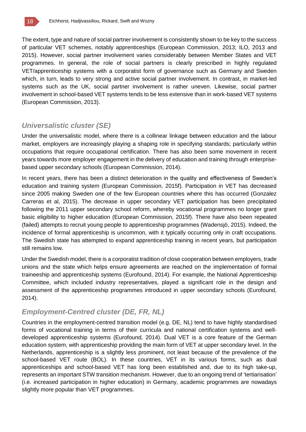The extent, type and nature of social partner involvement is consistently shown to be key to the success of particular VET schemes, notably apprenticeships (European Commission, 2013; ILO, 2013 and 2015). However, social partner involvement varies considerably between Member States and VET programmes. In general, the role of social partners is clearly prescribed in highly regulated VET/apprenticeship systems with a corporatist form of governance such as Germany and Sweden which, in turn, leads to very strong and active social partner involvement. In contrast, in market-led systems such as the UK, social partner involvement is rather uneven. Likewise, social partner involvement in school-based VET systems tends to be less extensive than in work-based VET systems (European Commission, 2013).

### *Universalistic cluster (SE)*

Under the universalistic model, where there is a collinear linkage between education and the labour market, employers are increasingly playing a shaping role in specifying standards; particularly within occupations that require occupational certification. There has also been some movement in recent years towards more employer engagement in the delivery of education and training through enterprisebased upper secondary schools (European Commission, 2014).

In recent years, there has been a distinct deterioration in the quality and effectiveness of Sweden's education and training system (European Commission, 2015f). Participation in VET has decreased since 2005 making Sweden one of the few European countries where this has occurred (Gonzalez Carreras et al, 2015). The decrease in upper secondary VET participation has been precipitated following the 2011 upper secondary school reform, whereby vocational programmes no longer grant basic eligibility to higher education (European Commission, 2015f). There have also been repeated (failed) attempts to recruit young people to apprenticeship programmes (Wadensjö, 2015). Indeed, the incidence of formal apprenticeship is uncommon, with it typically occurring only in craft occupations. The Swedish state has attempted to expand apprenticeship training in recent years, but participation still remains low.

Under the Swedish model, there is a corporatist tradition of close cooperation between employers, trade unions and the state which helps ensure agreements are reached on the implementation of formal traineeship and apprenticeship systems (Eurofound, 2014). For example, the National Apprenticeship Committee, which included industry representatives, played a significant role in the design and assessment of the apprenticeship programmes introduced in upper secondary schools (Eurofound, 2014).

## *Employment-Centred cluster (DE, FR, NL)*

Countries in the employment-centred transition model (e.g. DE, NL) tend to have highly standardised forms of vocational training in terms of their curricula and national certification systems and welldeveloped apprenticeship systems (Eurofound, 2014). Dual VET is a core feature of the German education system, with apprenticeship providing the main form of VET at upper secondary level. In the Netherlands, apprenticeship is a slightly less prominent, not least because of the prevalence of the school-based VET route (BOL). In these countries, VET in its various forms, such as dual apprenticeships and school-based VET has long been established and, due to its high take-up, represents an important STW transition mechanism. However, due to an ongoing trend of 'tertiarisation' (i.e. increased participation in higher education) in Germany, academic programmes are nowadays slightly more popular than VET programmes.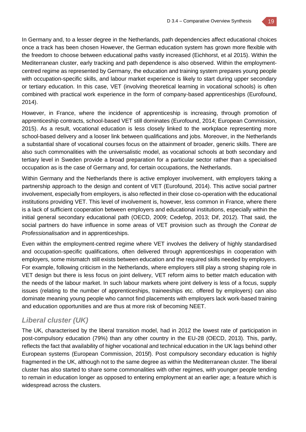

In Germany and, to a lesser degree in the Netherlands, path dependencies affect educational choices once a track has been chosen However, the German education system has grown more flexible with the freedom to choose between educational paths vastly increased (Eichhorst, et al 2015). Within the Mediterranean cluster, early tracking and path dependence is also observed. Within the employmentcentred regime as represented by Germany, the education and training system prepares young people with occupation-specific skills, and labour market experience is likely to start during upper secondary or tertiary education. In this case, VET (involving theoretical learning in vocational schools) is often combined with practical work experience in the form of company-based apprenticeships (Eurofound, 2014).

However, in France, where the incidence of apprenticeship is increasing, through promotion of apprenticeship contracts, school-based VET still dominates (Eurofound, 2014; European Commission, 2015). As a result, vocational education is less closely linked to the workplace representing more school-based delivery and a looser link between qualifications and jobs. Moreover, in the Netherlands a substantial share of vocational courses focus on the attainment of broader, generic skills. There are also such commonalities with the universalistic model, as vocational schools at both secondary and tertiary level in Sweden provide a broad preparation for a particular sector rather than a specialised occupation as is the case of Germany and, for certain occupations, the Netherlands.

Within Germany and the Netherlands there is active employer involvement, with employers taking a partnership approach to the design and content of VET (Eurofound, 2014). This active social partner involvement, especially from employers, is also reflected in their close co-operation with the educational institutions providing VET. This level of involvement is, however, less common in France, where there is a lack of sufficient cooperation between employers and educational institutions, especially within the initial general secondary educational path (OECD, 2009; Cedefop, 2013; Dif, 2012). That said, the social partners do have influence in some areas of VET provision such as through the *Contrat de Professionalisation* and in apprenticeships.

Even within the employment-centred regime where VET involves the delivery of highly standardised and occupation-specific qualifications, often delivered through apprenticeships in cooperation with employers, some mismatch still exists between education and the required skills needed by employers. For example, following criticism in the Netherlands, where employers still play a strong shaping role in VET design but there is less focus on joint delivery, VET reform aims to better match education with the needs of the labour market. In such labour markets where joint delivery is less of a focus, supply issues (relating to the number of apprenticeships, traineeships etc. offered by employers) can also dominate meaning young people who cannot find placements with employers lack work-based training and education opportunities and are thus at more risk of becoming NEET.

### *Liberal cluster (UK)*

The UK, characterised by the liberal transition model, had in 2012 the lowest rate of participation in post-compulsory education (79%) than any other country in the EU-28 (OECD, 2013). This, partly, reflects the fact that availability of higher vocational and technical education in the UK lags behind other European systems (European Commission, 2015f). Post compulsory secondary education is highly fragmented in the UK, although not to the same degree as within the Mediterranean cluster. The liberal cluster has also started to share some commonalities with other regimes, with younger people tending to remain in education longer as opposed to entering employment at an earlier age; a feature which is widespread across the clusters.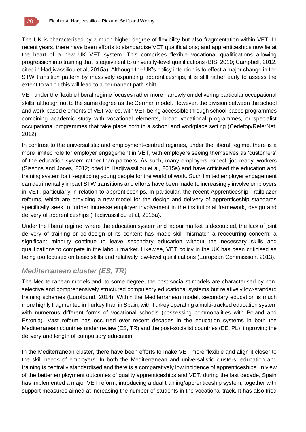

The UK is characterised by a much higher degree of flexibility but also fragmentation within VET. In recent years, there have been efforts to standardise VET qualifications; and apprenticeships now lie at the heart of a new UK VET system. This comprises flexible vocational qualifications allowing progression into training that is equivalent to university-level qualifications (BIS, 2010; Campbell, 2012, cited in Hadjivassiliou et al, 2015a). Although the UK's policy intention is to effect a major change in the STW transition pattern by massively expanding apprenticeships, it is still rather early to assess the extent to which this will lead to a permanent path-shift.

VET under the flexible liberal regime focuses rather more narrowly on delivering particular occupational skills, although not to the same degree as the German model. However, the division between the school and work-based elements of VET varies, with VET being accessible through school-based programmes combining academic study with vocational elements, broad vocational programmes, or specialist occupational programmes that take place both in a school and workplace setting (Cedefop/ReferNet, 2012).

In contrast to the universalistic and employment-centred regimes, under the liberal regime, there is a more limited role for employer engagement in VET, with employers seeing themselves as 'customers' of the education system rather than partners. As such, many employers expect 'job-ready' workers (Sissons and Jones, 2012; cited in Hadjivassiliou et al, 2015a) and have criticised the education and training system for ill-equipping young people for the world of work. Such limited employer engagement can detrimentally impact STW transitions and efforts have been made to increasingly involve employers in VET, particularly in relation to apprenticeships. In particular, the recent Apprenticeship Trailblazer reforms, which are providing a new model for the design and delivery of apprenticeship standards specifically seek to further increase employer involvement in the institutional framework, design and delivery of apprenticeships (Hadjivassiliou et al, 2015a).

Under the liberal regime, where the education system and labour market is decoupled, the lack of joint delivery of training or co-design of its content has made skill mismatch a reoccurring concern: a significant minority continue to leave secondary education without the necessary skills and qualifications to compete in the labour market. Likewise, VET policy in the UK has been criticised as being too focused on basic skills and relatively low-level qualifications (European Commission, 2013).

### *Mediterranean cluster (ES, TR)*

The Mediterranean models and, to some degree, the post-socialist models are characterised by nonselective and comprehensively structured compulsory educational systems but relatively low-standard training schemes (Eurofound, 2014). Within the Mediterranean model, secondary education is much more highly fragmented in Turkey than in Spain, with Turkey operating a multi-tracked education system with numerous different forms of vocational schools (possessing commonalities with Poland and Estonia). Vast reform has occurred over recent decades in the education systems in both the Mediterranean countries under review (ES, TR) and the post-socialist countries (EE, PL), improving the delivery and length of compulsory education.

In the Mediterranean cluster, there have been efforts to make VET more flexible and align it closer to the skill needs of employers. In both the Mediterranean and universalistic clusters, education and training is centrally standardised and there is a comparatively low incidence of apprenticeships. In view of the better employment outcomes of quality apprenticeships and VET, during the last decade, Spain has implemented a major VET reform, introducing a dual training/apprenticeship system, together with support measures aimed at increasing the number of students in the vocational track. It has also tried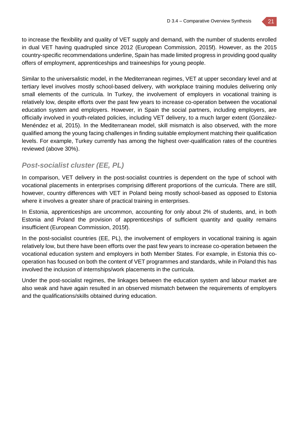to increase the flexibility and quality of VET supply and demand, with the number of students enrolled in dual VET having quadrupled since 2012 (European Commission, 2015f). However, as the 2015 country-specific recommendations underline, Spain has made limited progress in providing good quality offers of employment, apprenticeships and traineeships for young people.

Similar to the universalistic model, in the Mediterranean regimes, VET at upper secondary level and at tertiary level involves mostly school-based delivery, with workplace training modules delivering only small elements of the curricula. In Turkey, the involvement of employers in vocational training is relatively low, despite efforts over the past few years to increase co-operation between the vocational education system and employers. However, in Spain the social partners, including employers, are officially involved in youth-related policies, including VET delivery, to a much larger extent (González-Menéndez et al, 2015). In the Mediterranean model, skill mismatch is also observed, with the more qualified among the young facing challenges in finding suitable employment matching their qualification levels. For example, Turkey currently has among the highest over-qualification rates of the countries reviewed (above 30%).

## *Post-socialist cluster (EE, PL)*

In comparison, VET delivery in the post-socialist countries is dependent on the type of school with vocational placements in enterprises comprising different proportions of the curricula. There are still, however, country differences with VET in Poland being mostly school-based as opposed to Estonia where it involves a greater share of practical training in enterprises.

In Estonia, apprenticeships are uncommon, accounting for only about 2% of students, and, in both Estonia and Poland the provision of apprenticeships of sufficient quantity and quality remains insufficient (European Commission, 2015f).

In the post-socialist countries (EE, PL), the involvement of employers in vocational training is again relatively low, but there have been efforts over the past few years to increase co-operation between the vocational education system and employers in both Member States. For example, in Estonia this cooperation has focused on both the content of VET programmes and standards, while in Poland this has involved the inclusion of internships/work placements in the curricula.

Under the post-socialist regimes, the linkages between the education system and labour market are also weak and have again resulted in an observed mismatch between the requirements of employers and the qualifications/skills obtained during education.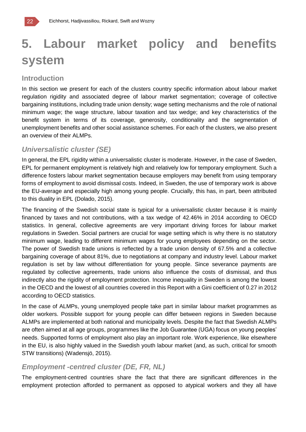# **5. Labour market policy and benefits system**

### **Introduction**

In this section we present for each of the clusters country specific information about labour market regulation rigidity and associated degree of labour market segmentation; coverage of collective bargaining institutions, including trade union density; wage setting mechanisms and the role of national minimum wage; the wage structure, labour taxation and tax wedge; and key characteristics of the benefit system in terms of its coverage, generosity, conditionality and the segmentation of unemployment benefits and other social assistance schemes. For each of the clusters, we also present an overview of their ALMPs.

## *Universalistic cluster (SE)*

In general, the EPL rigidity within a universalistic cluster is moderate. However, in the case of Sweden, EPL for permanent employment is relatively high and relatively low for temporary employment. Such a difference fosters labour market segmentation because employers may benefit from using temporary forms of employment to avoid dismissal costs. Indeed, in Sweden, the use of temporary work is above the EU-average and especially high among young people. Crucially, this has, in part, been attributed to this duality in EPL (Dolado, 2015).

The financing of the Swedish social state is typical for a universalistic cluster because it is mainly financed by taxes and not contributions, with a tax wedge of 42.46% in 2014 according to OECD statistics. In general, collective agreements are very important driving forces for labour market regulations in Sweden. Social partners are crucial for wage setting which is why there is no statutory minimum wage, leading to different minimum wages for young employees depending on the sector. The power of Swedish trade unions is reflected by a trade union density of 67.5% and a collective bargaining coverage of about 81%, due to negotiations at company and industry level. Labour market regulation is set by law without differentiation for young people. Since severance payments are regulated by collective agreements, trade unions also influence the costs of dismissal, and thus indirectly also the rigidity of employment protection. Income inequality in Sweden is among the lowest in the OECD and the lowest of all countries covered in this Report with a Gini coefficient of 0.27 in 2012 according to OECD statistics.

In the case of ALMPs, young unemployed people take part in similar labour market programmes as older workers. Possible support for young people can differ between regions in Sweden because ALMPs are implemented at both national and municipality levels. Despite the fact that Swedish ALMPs are often aimed at all age groups, programmes like the Job Guarantee (UGA) focus on young peoples' needs. Supported forms of employment also play an important role. Work experience, like elsewhere in the EU, is also highly valued in the Swedish youth labour market (and, as such, critical for smooth STW transitions) (Wadensjö, 2015).

## *Employment -centred cluster (DE, FR, NL)*

The employment-centred countries share the fact that there are significant differences in the employment protection afforded to permanent as opposed to atypical workers and they all have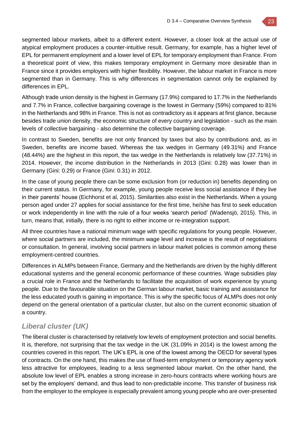

Although trade union density is the highest in Germany (17.9%) compared to 17.7% in the Netherlands and 7.7% in France, collective bargaining coverage is the lowest in Germany (59%) compared to 81% in the Netherlands and 98% in France. This is not as contradictory as it appears at first glance, because besides trade union density, the economic structure of every country and legislation - such as the main levels of collective bargaining - also determine the collective bargaining coverage.

In contrast to Sweden, benefits are not only financed by taxes but also by contributions and, as in Sweden, benefits are income based. Whereas the tax wedges in Germany (49.31%) and France (48.44%) are the highest in this report, the tax wedge in the Netherlands is relatively low (37.71%) in 2014. However, the income distribution in the Netherlands in 2013 (Gini: 0.28) was lower than in Germany (Gini: 0.29) or France (Gini: 0.31) in 2012.

In the case of young people there can be some exclusion from (or reduction in) benefits depending on their current status. In Germany, for example, young people receive less social assistance if they live in their parents' house (Eichhorst et al, 2015). Similarities also exist in the Netherlands. When a young person aged under 27 applies for social assistance for the first time, he/she has first to seek education or work independently in line with the rule of a four weeks 'search period' (Wadensjö, 2015). This, in turn, means that, initially, there is no right to either income or re-integration support.

All three countries have a national minimum wage with specific regulations for young people. However, where social partners are included, the minimum wage level and increase is the result of negotiations or consultation. In general, involving social partners in labour market policies is common among these employment-centred countries.

Differences in ALMPs between France, Germany and the Netherlands are driven by the highly different educational systems and the general economic performance of these countries. Wage subsidies play a crucial role in France and the Netherlands to facilitate the acquisition of work experience by young people. Due to the favourable situation on the German labour market, basic training and assistance for the less educated youth is gaining in importance. This is why the specific focus of ALMPs does not only depend on the general orientation of a particular cluster, but also on the current economic situation of a country.

## *Liberal cluster (UK)*

The liberal cluster is characterised by relatively low levels of employment protection and social benefits. It is, therefore, not surprising that the tax wedge in the UK (31.09% in 2014) is the lowest among the countries covered in this report. The UK's EPL is one of the lowest among the OECD for several types of contracts. On the one hand, this makes the use of fixed-term employment or temporary agency work less attractive for employees, leading to a less segmented labour market. On the other hand, the absolute low level of EPL enables a strong increase in zero-hours contracts where working hours are set by the employers' demand, and thus lead to non-predictable income. This transfer of business risk from the employer to the employee is especially prevalent among young people who are over-presented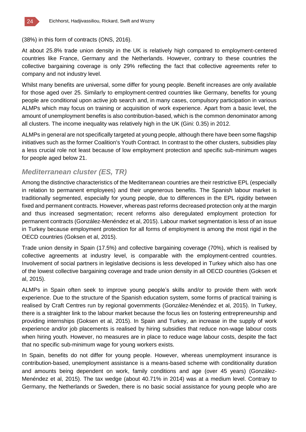

(38%) in this form of contracts (ONS, 2016).

At about 25.8% trade union density in the UK is relatively high compared to employment-centered countries like France, Germany and the Netherlands. However, contrary to these countries the collective bargaining coverage is only 29% reflecting the fact that collective agreements refer to company and not industry level.

Whilst many benefits are universal, some differ for young people. Benefit increases are only available for those aged over 25. Similarly to employment-centred countries like Germany, benefits for young people are conditional upon active job search and, in many cases, compulsory participation in various ALMPs which may focus on training or acquisition of work experience. Apart from a basic level, the amount of unemployment benefits is also contribution-based, which is the common denominator among all clusters. The income inequality was relatively high in the UK (Gini: 0.35) in 2012.

ALMPs in general are not specifically targeted at young people, although there have been some flagship initiatives such as the former Coalition's Youth Contract. In contrast to the other clusters, subsidies play a less crucial role not least because of low employment protection and specific sub-minimum wages for people aged below 21.

### *Mediterranean cluster (ES, TR)*

Among the distinctive characteristics of the Mediterranean countries are their restrictive EPL (especially in relation to permanent employees) and their ungenerous benefits. The Spanish labour market is traditionally segmented, especially for young people, due to differences in the EPL rigidity between fixed and permanent contracts. However, whereas past reforms decreased protection only at the margin and thus increased segmentation; recent reforms also deregulated employment protection for permanent contracts (González-Menéndez et al, 2015). Labour market segmentation is less of an issue in Turkey because employment protection for all forms of employment is among the most rigid in the OECD countries (Goksen et al, 2015).

Trade union density in Spain (17.5%) and collective bargaining coverage (70%), which is realised by collective agreements at industry level, is comparable with the employment-centred countries. Involvement of social partners in legislative decisions is less developed in Turkey which also has one of the lowest collective bargaining coverage and trade union density in all OECD countries (Goksen et al, 2015).

ALMPs in Spain often seek to improve young people's skills and/or to provide them with work experience. Due to the structure of the Spanish education system, some forms of practical training is realised by Craft Centres run by regional governments (González-Menéndez et al, 2015). In Turkey, there is a straighter link to the labour market because the focus lies on fostering entrepreneurship and providing internships (Goksen et al, 2015). In Spain and Turkey, an increase in the supply of work experience and/or job placements is realised by hiring subsidies that reduce non-wage labour costs when hiring youth. However, no measures are in place to reduce wage labour costs, despite the fact that no specific sub-minimum wage for young workers exists.

In Spain, benefits do not differ for young people. However, whereas unemployment insurance is contribution-based, unemployment assistance is a means-based scheme with conditionality duration and amounts being dependent on work, family conditions and age (over 45 years) (González-Menéndez et al, 2015). The tax wedge (about 40.71% in 2014) was at a medium level. Contrary to Germany, the Netherlands or Sweden, there is no basic social assistance for young people who are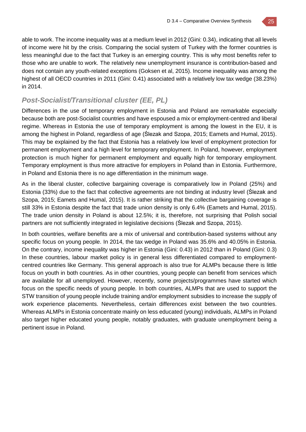

able to work. The income inequality was at a medium level in 2012 (Gini: 0.34), indicating that all levels of income were hit by the crisis. Comparing the social system of Turkey with the former countries is less meaningful due to the fact that Turkey is an emerging country. This is why most benefits refer to those who are unable to work. The relatively new unemployment insurance is contribution-based and does not contain any youth-related exceptions (Goksen et al, 2015). Income inequality was among the highest of all OECD countries in 2011 (Gini: 0.41) associated with a relatively low tax wedge (38.23%) in 2014.

## *Post-Socialist/Transitional cluster (EE, PL)*

Differences in the use of temporary employment in Estonia and Poland are remarkable especially because both are post-Socialist countries and have espoused a mix or employment-centred and liberal regime. Whereas in Estonia the use of temporary employment is among the lowest in the EU, it is among the highest in Poland, regardless of age (Ślezak and Szopa, 2015; Eamets and Humal, 2015). This may be explained by the fact that Estonia has a relatively low level of employment protection for permanent employment and a high level for temporary employment. In Poland, however, employment protection is much higher for permanent employment and equally high for temporary employment. Temporary employment is thus more attractive for employers in Poland than in Estonia. Furthermore, in Poland and Estonia there is no age differentiation in the minimum wage.

As in the liberal cluster, collective bargaining coverage is comparatively low in Poland (25%) and Estonia (33%) due to the fact that collective agreements are not binding at industry level (Ślezak and Szopa, 2015; Eamets and Humal, 2015). It is rather striking that the collective bargaining coverage is still 33% in Estonia despite the fact that trade union density is only 6.4% (Eamets and Humal, 2015). The trade union density in Poland is about 12.5%; it is, therefore, not surprising that Polish social partners are not sufficiently integrated in legislative decisions (Ślezak and Szopa, 2015).

In both countries, welfare benefits are a mix of universal and contribution-based systems without any specific focus on young people. In 2014, the tax wedge in Poland was 35.6% and 40.05% in Estonia. On the contrary, income inequality was higher in Estonia (Gini: 0.43) in 2012 than in Poland (Gini: 0.3) In these countries, labour market policy is in general less differentiated compared to employmentcentred countries like Germany. This general approach is also true for ALMPs because there is little focus on youth in both countries. As in other countries, young people can benefit from services which are available for all unemployed. However, recently, some projects/programmes have started which focus on the specific needs of young people. In both countries, ALMPs that are used to support the STW transition of young people include training and/or employment subsidies to increase the supply of work experience placements. Nevertheless, certain differences exist between the two countries. Whereas ALMPs in Estonia concentrate mainly on less educated (young) individuals, ALMPs in Poland also target higher educated young people, notably graduates, with graduate unemployment being a pertinent issue in Poland.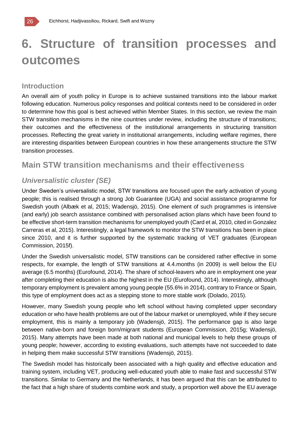## **6. Structure of transition processes and outcomes**

### **Introduction**

An overall aim of youth policy in Europe is to achieve sustained transitions into the labour market following education. Numerous policy responses and political contexts need to be considered in order to determine how this goal is best achieved within Member States. In this section, we review the main STW transition mechanisms in the nine countries under review, including the structure of transitions; their outcomes and the effectiveness of the institutional arrangements in structuring transition processes. Reflecting the great variety in institutional arrangements, including welfare regimes, there are interesting disparities between European countries in how these arrangements structure the STW transition processes.

## **Main STW transition mechanisms and their effectiveness**

### *Universalistic cluster (SE)*

Under Sweden's universalistic model, STW transitions are focused upon the early activation of young people; this is realised through a strong Job Guarantee (UGA) and social assistance programme for Swedish youth (Albæk et al, 2015; Wadensjö, 2015). One element of such programmes is intensive (and early) job search assistance combined with personalised action plans which have been found to be effective short-term transition mechanisms for unemployed youth (Card et al, 2010, cited in Gonzalez Carreras et al, 2015). Interestingly, a legal framework to monitor the STW transitions has been in place since 2010, and it is further supported by the systematic tracking of VET graduates (European Commission, 2015f).

Under the Swedish universalistic model, STW transitions can be considered rather effective in some respects, for example, the length of STW transitions at 4.4.months (in 2009) is well below the EU average (6.5 months) (Eurofound, 2014). The share of school-leavers who are in employment one year after completing their education is also the highest in the EU (Eurofound, 2014). Interestingly, although temporary employment is prevalent among young people (55.6% in 2014), contrary to France or Spain, this type of employment does act as a stepping stone to more stable work (Dolado, 2015).

However, many Swedish young people who left school without having completed upper secondary education or who have health problems are out of the labour market or unemployed, while if they secure employment, this is mainly a temporary job (Wadensjö, 2015). The performance gap is also large between native-born and foreign born/migrant students (European Commission, 2015g; Wadensjö, 2015). Many attempts have been made at both national and municipal levels to help these groups of young people; however, according to existing evaluations, such attempts have not succeeded to date in helping them make successful STW transitions (Wadensjö, 2015).

The Swedish model has historically been associated with a high quality and effective education and training system, including VET, producing well-educated youth able to make fast and successful STW transitions. Similar to Germany and the Netherlands, it has been argued that this can be attributed to the fact that a high share of students combine work and study, a proportion well above the EU average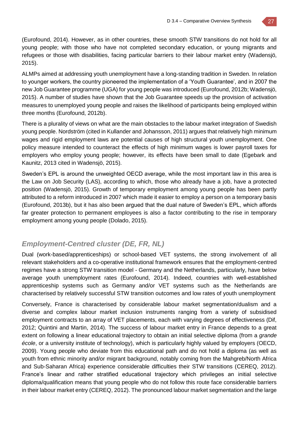(Eurofound, 2014). However, as in other countries, these smooth STW transitions do not hold for all young people; with those who have not completed secondary education, or young migrants and refugees or those with disabilities, facing particular barriers to their labour market entry (Wadensjö, 2015).

ALMPs aimed at addressing youth unemployment have a long-standing tradition in Sweden. In relation to younger workers, the country pioneered the implementation of a 'Youth Guarantee', and in 2007 the new Job Guarantee programme (UGA) for young people was introduced (Eurofound, 2012b; Wadensjö, 2015). A number of studies have shown that the Job Guarantee speeds up the provision of activation measures to unemployed young people and raises the likelihood of participants being employed within three months (Eurofound, 2012b).

There is a plurality of views on what are the main obstacles to the labour market integration of Swedish young people. Nordström (cited in Kullander and Johansson, 2011) argues that relatively high minimum wages and rigid employment laws are potential causes of high structural youth unemployment. One policy measure intended to counteract the effects of high minimum wages is lower payroll taxes for employers who employ young people; however, its effects have been small to date (Egebark and Kaunitz, 2013 cited in Wadensjö, 2015).

Sweden's EPL is around the unweighted OECD average, while the most important law in this area is the Law on Job Security (LAS), according to which, those who already have a job, have a protected position (Wadensjö, 2015). Growth of temporary employment among young people has been partly attributed to a reform introduced in 2007 which made it easier to employ a person on a temporary basis (Eurofound, 2013b), but it has also been argued that the dual nature of Sweden's EPL, which affords far greater protection to permanent employees is also a factor contributing to the rise in temporary employment among young people (Dolado, 2015).

### *Employment-Centred cluster (DE, FR, NL)*

Dual (work-based/apprenticeships) or school-based VET systems, the strong involvement of all relevant stakeholders and a co-operative institutional framework ensures that the employment-centred regimes have a strong STW transition model - Germany and the Netherlands, particularly, have below average youth unemployment rates (Eurofound, 2014). Indeed, countries with well-established apprenticeship systems such as Germany and/or VET systems such as the Netherlands are characterised by relatively successful STW transition outcomes and low rates of youth unemployment

Conversely, France is characterised by considerable labour market segmentation/dualism and a diverse and complex labour market inclusion instruments ranging from a variety of subsidised employment contracts to an array of VET placements, each with varying degrees of effectiveness (Dif, 2012; Quintini and Martin, 2014). The success of labour market entry in France depends to a great extent on following a linear educational trajectory to obtain an initial selective diploma (from a *grande école*, or a university institute of technology), which is particularly highly valued by employers (OECD, 2009). Young people who deviate from this educational path and do not hold a diploma (as well as youth from ethnic minority and/or migrant background, notably coming from the Mahgreb/North Africa and Sub-Saharan Africa) experience considerable difficulties their STW transitions (CEREQ, 2012). France's linear and rather stratified educational trajectory which privileges an initial selective diploma/qualification means that young people who do not follow this route face considerable barriers in their labour market entry (CEREQ, 2012). The pronounced labour market segmentation and the large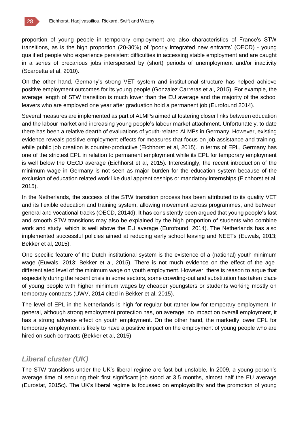proportion of young people in temporary employment are also characteristics of France's STW transitions, as is the high proportion (20-30%) of 'poorly integrated new entrants' (OECD) - young qualified people who experience persistent difficulties in accessing stable employment and are caught in a series of precarious jobs interspersed by (short) periods of unemployment and/or inactivity (Scarpetta et al, 2010).

On the other hand, Germany's strong VET system and institutional structure has helped achieve positive employment outcomes for its young people (Gonzalez Carreras et al, 2015). For example, the average length of STW transition is much lower than the EU average and the majority of the school leavers who are employed one year after graduation hold a permanent job (Eurofound 2014).

Several measures are implemented as part of ALMPs aimed at fostering closer links between education and the labour market and increasing young people's labour market attachment. Unfortunately, to date there has been a relative dearth of evaluations of youth-related ALMPs in Germany. However, existing evidence reveals positive employment effects for measures that focus on job assistance and training, while public job creation is counter-productive (Eichhorst et al, 2015). In terms of EPL, Germany has one of the strictest EPL in relation to permanent employment while its EPL for temporary employment is well below the OECD average (Eichhorst et al, 2015). Interestingly, the recent introduction of the minimum wage in Germany is not seen as major burden for the education system because of the exclusion of education related work like dual apprenticeships or mandatory internships (Eichhorst et al, 2015).

In the Netherlands, the success of the STW transition process has been attributed to its quality VET and its flexible education and training system, allowing movement across programmes, and between general and vocational tracks (OECD, 2014d). It has consistently been argued that young people's fast and smooth STW transitions may also be explained by the high proportion of students who combine work and study, which is well above the EU average (Eurofound, 2014). The Netherlands has also implemented successful policies aimed at reducing early school leaving and NEETs (Euwals, 2013; Bekker et al, 2015).

One specific feature of the Dutch institutional system is the existence of a (national) youth minimum wage (Euwals, 2013; Bekker et al, 2015). There is not much evidence on the effect of the agedifferentiated level of the minimum wage on youth employment. However, there is reason to argue that especially during the recent crisis in some sectors, some crowding-out and substitution has taken place of young people with higher minimum wages by cheaper youngsters or students working mostly on temporary contracts (UWV, 2014 cited in Bekker et al, 2015).

The level of EPL in the Netherlands is high for regular but rather low for temporary employment. In general, although strong employment protection has, on average, no impact on overall employment, it has a strong adverse effect on youth employment. On the other hand, the markedly lower EPL for temporary employment is likely to have a positive impact on the employment of young people who are hired on such contracts (Bekker et al, 2015).

### *Liberal cluster (UK)*

The STW transitions under the UK's liberal regime are fast but unstable. In 2009, a young person's average time of securing their first significant job stood at 3.5 months, almost half the EU average (Eurostat, 2015c). The UK's liberal regime is focussed on employability and the promotion of young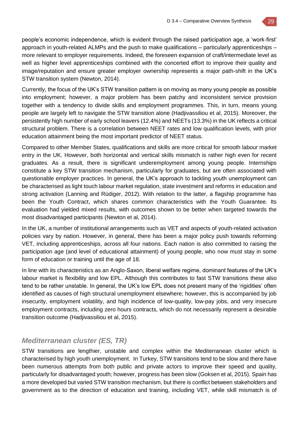people's economic independence, which is evident through the raised participation age, a 'work-first' approach in youth-related ALMPs and the push to make qualifications – particularly apprenticeships – more relevant to employer requirements. Indeed, the foreseen expansion of craft/intermediate level as well as higher level apprenticeships combined with the concerted effort to improve their quality and image/reputation and ensure greater employer ownership represents a major path-shift in the UK's STW transition system (Newton, 2014).

Currently, the focus of the UK's STW transition pattern is on moving as many young people as possible into employment; however, a major problem has been patchy and inconsistent service provision together with a tendency to divide skills and employment programmes. This, in turn, means young people are largely left to navigate the STW transition alone (Hadjivassiliou et al, 2015). Moreover, the persistently high number of early school leavers (12.4%) and NEETs (13.3%) in the UK reflects a critical structural problem. There is a correlation between NEET rates and low qualification levels, with prior education attainment being the most important predictor of NEET status.

Compared to other Member States, qualifications and skills are more critical for smooth labour market entry in the UK. However, both horizontal and vertical skills mismatch is rather high even for recent graduates. As a result, there is significant underemployment among young people. Internships constitute a key STW transition mechanism, particularly for graduates, but are often associated with questionable employer practices. In general, the UK's approach to tackling youth unemployment can be characterised as light touch labour market regulation, state investment and reforms in education and strong activation (Lanning and Rüdiger, 2012). With relation to the latter, a flagship programme has been the Youth Contract, which shares common characteristics with the Youth Guarantee. Its evaluation had yielded mixed results, with outcomes shown to be better when targeted towards the most disadvantaged participants (Newton et al, 2014).

In the UK, a number of institutional arrangements such as VET and aspects of youth-related activation policies vary by nation. However, in general, there has been a major policy push towards reforming VET, including apprenticeships, across all four nations. Each nation is also committed to raising the participation age (and level of educational attainment) of young people, who now must stay in some form of education or training until the age of 18.

In line with its characteristics as an Anglo-Saxon, liberal welfare regime, dominant features of the UK's labour market is flexibility and low EPL. Although this contributes to fast STW transitions these also tend to be rather unstable. In general, the UK's low EPL does not present many of the 'rigidities' often identified as causes of high structural unemployment elsewhere; however, this is accompanied by job insecurity, employment volatility, and high incidence of low-quality, low-pay jobs, and very insecure employment contracts, including zero hours contracts, which do not necessarily represent a desirable transition outcome (Hadjivassiliou et al, 2015).

## *Mediterranean cluster (ES, TR)*

STW transitions are lengthier, unstable and complex within the Mediterranean cluster which is characterised by high youth unemployment. In Turkey, STW transitions tend to be slow and there have been numerous attempts from both public and private actors to improve their speed and quality, particularly for disadvantaged youth; however, progress has been slow (Goksen et al, 2015). Spain has a more developed but varied STW transition mechanism, but there is conflict between stakeholders and government as to the direction of education and training, including VET, while skill mismatch is of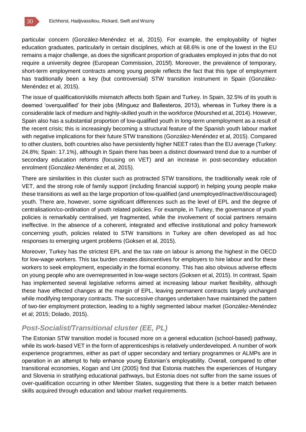

particular concern (González-Menéndez et al, 2015). For example, the employability of higher education graduates, particularly in certain disciplines, which at 68.6% is one of the lowest in the EU remains a major challenge, as does the significant proportion of graduates employed in jobs that do not require a university degree (European Commission, 2015f). Moreover, the prevalence of temporary, short-term employment contracts among young people reflects the fact that this type of employment has traditionally been a key (but controversial) STW transition instrument in Spain (González-Menéndez et al, 2015).

The issue of qualification/skills mismatch affects both Spain and Turkey. In Spain, 32.5% of its youth is deemed 'overqualified' for their jobs (Mínguez and Ballesteros, 2013), whereas in Turkey there is a considerable lack of medium and highly-skilled youth in the workforce (Mourshed et al, 2014). However, Spain also has a substantial proportion of low-qualified youth in long-term unemployment as a result of the recent crisis; this is increasingly becoming a structural feature of the Spanish youth labour market with negative implications for their future STW transitions (González-Menéndez et al, 2015). Compared to other clusters, both countries also have persistently higher NEET rates than the EU average (Turkey: 24.8%; Spain: 17.1%), although in Spain there has been a distinct downward trend due to a number of secondary education reforms (focusing on VET) and an increase in post-secondary education enrolment (González-Menéndez et al, 2015).

There are similarities in this cluster such as protracted STW transitions, the traditionally weak role of VET, and the strong role of family support (including financial support) in helping young people make these transitions as well as the large proportion of low-qualified (and unemployed/inactive/discouraged) youth. There are, however, some significant differences such as the level of EPL and the degree of centralisation/co-ordination of youth related policies. For example, in Turkey, the governance of youth policies is remarkably centralised, yet fragmented, while the involvement of social partners remains ineffective. In the absence of a coherent, integrated and effective institutional and policy framework concerning youth, policies related to STW transitions in Turkey are often developed as ad hoc responses to emerging urgent problems (Goksen et al, 2015).

Moreover, Turkey has the strictest EPL and the tax rate on labour is among the highest in the OECD for low-wage workers. This tax burden creates disincentives for employers to hire labour and for these workers to seek employment, especially in the formal economy. This has also obvious adverse effects on young people who are overrepresented in low-wage sectors (Goksen et al, 2015). In contrast, Spain has implemented several legislative reforms aimed at increasing labour market flexibility, although these have effected changes at the margin of EPL, leaving permanent contracts largely unchanged while modifying temporary contracts. The successive changes undertaken have maintained the pattern of two-tier employment protection, leading to a highly segmented labour market (González-Menéndez et al; 2015; Dolado, 2015).

### *Post-Socialist/Transitional cluster (EE, PL)*

The Estonian STW transition model is focused more on a general education (school-based) pathway, while its work-based VET in the form of apprenticeships is relatively underdeveloped. A number of work experience programmes, either as part of upper secondary and tertiary programmes or ALMPs are in operation in an attempt to help enhance young Estonian's employability. Overall, compared to other transitional economies, Kogan and Unt (2005) find that Estonia matches the experiences of Hungary and Slovenia in stratifying educational pathways, but Estonia does not suffer from the same issues of over-qualification occurring in other Member States, suggesting that there is a better match between skills acquired through education and labour market requirements.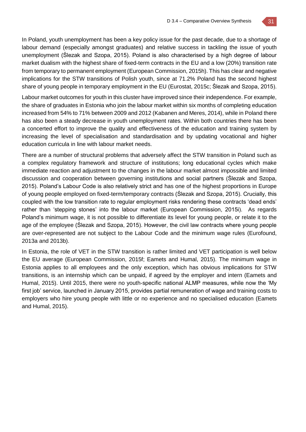In Poland, youth unemployment has been a key policy issue for the past decade, due to a shortage of labour demand (especially amongst graduates) and relative success in tackling the issue of youth unemployment (Ślezak and Szopa, 2015). Poland is also characterised by a high degree of labour market dualism with the highest share of fixed-term contracts in the EU and a low (20%) transition rate from temporary to permanent employment (European Commission, 2015h). This has clear and negative implications for the STW transitions of Polish youth, since at 71.2% Poland has the second highest share of young people in temporary employment in the EU (Eurostat, 2015c; Ślezak and Szopa, 2015).

Labour market outcomes for youth in this cluster have improved since their independence. For example, the share of graduates in Estonia who join the labour market within six months of completing education increased from 54% to 71% between 2009 and 2012 (Kabanen and Meres, 2014), while in Poland there has also been a steady decrease in youth unemployment rates. Within both countries there has been a concerted effort to improve the quality and effectiveness of the education and training system by increasing the level of specialisation and standardisation and by updating vocational and higher education curricula in line with labour market needs.

There are a number of structural problems that adversely affect the STW transition in Poland such as a complex regulatory framework and structure of institutions; long educational cycles which make immediate reaction and adjustment to the changes in the labour market almost impossible and limited discussion and cooperation between governing institutions and social partners (Ślezak and Szopa, 2015). Poland's Labour Code is also relatively strict and has one of the highest proportions in Europe of young people employed on fixed-term/temporary contracts (Ślezak and Szopa, 2015). Crucially, this coupled with the low transition rate to regular employment risks rendering these contracts 'dead ends' rather than 'stepping stones' into the labour market (European Commission, 2015i). As regards Poland's minimum wage, it is not possible to differentiate its level for young people, or relate it to the age of the employee (Ślezak and Szopa, 2015). However, the civil law contracts where young people are over-represented are not subject to the Labour Code and the minimum wage rules (Eurofound, 2013a and 2013b).

In Estonia, the role of VET in the STW transition is rather limited and VET participation is well below the EU average (European Commission, 2015f; Eamets and Humal, 2015). The minimum wage in Estonia applies to all employees and the only exception, which has obvious implications for STW transitions, is an internship which can be unpaid, if agreed by the employer and intern (Eamets and Humal, 2015). Until 2015, there were no youth-specific national ALMP measures, while now the 'My first job' service, launched in January 2015, provides partial remuneration of wage and training costs to employers who hire young people with little or no experience and no specialised education (Eamets and Humal, 2015).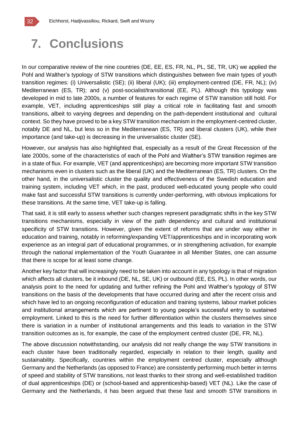

In our comparative review of the nine countries (DE, EE, ES, FR, NL, PL, SE, TR, UK) we applied the Pohl and Walther's typology of STW transitions which distinguishes between five main types of youth transition regimes: (i) Universalistic (SE); (ii) liberal (UK); (iii) employment-centred (DE, FR, NL); (iv) Mediterranean (ES, TR); and (v) post-socialist/transitional (EE, PL). Although this typology was developed in mid to late 2000s, a number of features for each regime of STW transition still hold. For example, VET, including apprenticeships still play a critical role in facilitating fast and smooth transitions, albeit to varying degrees and depending on the path-dependent institutional and cultural context. So they have proved to be a key STW transition mechanism in the employment-centred cluster, notably DE and NL, but less so in the Mediterranean (ES, TR) and liberal clusters (UK), while their importance (and take-up) is decreasing in the universalistic cluster (SE).

However, our analysis has also highlighted that, especially as a result of the Great Recession of the late 2000s, some of the characteristics of each of the Pohl and Walther's STW transition regimes are in a state of flux. For example, VET (and apprenticeships) are becoming more important STW transition mechanisms even in clusters such as the liberal (UK) and the Mediterranean (ES, TR) clusters. On the other hand, in the universalistic cluster the quality and effectiveness of the Swedish education and training system, including VET which, in the past, produced well-educated young people who could make fast and successful STW transitions is currently under-performing, with obvious implications for these transitions. At the same time, VET take-up is falling.

That said, it is still early to assess whether such changes represent paradigmatic shifts in the key STW transitions mechanisms, especially in view of the path dependency and cultural and institutional specificity of STW transitions. However, given the extent of reforms that are under way either in education and training, notably in reforming/expanding VET/apprenticeships and in incorporating work experience as an integral part of educational programmes, or in strengthening activation, for example through the national implementation of the Youth Guarantee in all Member States, one can assume that there is scope for at least some change.

Another key factor that will increasingly need to be taken into account in any typology is that of migration which affects all clusters, be it inbound (DE, NL, SE, UK) or outbound (EE, ES, PL). In other words, our analysis point to the need for updating and further refining the Pohl and Walther's typology of STW transitions on the basis of the developments that have occurred during and after the recent crisis and which have led to an ongoing reconfiguration of education and training systems, labour market policies and institutional arrangements which are pertinent to young people's successful entry to sustained employment. Linked to this is the need for further differentiation within the clusters themselves since there is variation in a number of institutional arrangements and this leads to variation in the STW transition outcomes as is, for example, the case of the employment centred cluster (DE, FR, NL).

The above discussion notwithstanding, our analysis did not really change the way STW transitions in each cluster have been traditionally regarded, especially in relation to their length, quality and sustainability. Specifically, countries within the employment centred cluster, especially although Germany and the Netherlands (as opposed to France) are consistently performing much better in terms of speed and stability of STW transitions, not least thanks to their strong and well-established tradition of dual apprenticeships (DE) or (school-based and apprenticeship-based) VET (NL). Like the case of Germany and the Netherlands, it has been argued that these fast and smooth STW transitions in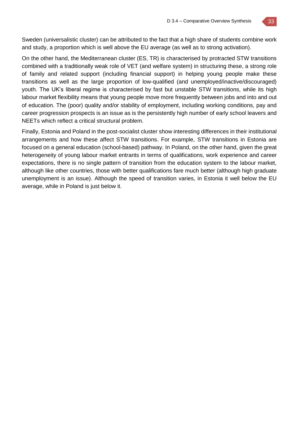Sweden (universalistic cluster) can be attributed to the fact that a high share of students combine work and study, a proportion which is well above the EU average (as well as to strong activation).

On the other hand, the Mediterranean cluster (ES, TR) is characterised by protracted STW transitions combined with a traditionally weak role of VET (and welfare system) in structuring these, a strong role of family and related support (including financial support) in helping young people make these transitions as well as the large proportion of low-qualified (and unemployed/inactive/discouraged) youth. The UK's liberal regime is characterised by fast but unstable STW transitions, while its high labour market flexibility means that young people move more frequently between jobs and into and out of education. The (poor) quality and/or stability of employment, including working conditions, pay and career progression prospects is an issue as is the persistently high number of early school leavers and NEETs which reflect a critical structural problem.

Finally, Estonia and Poland in the post-socialist cluster show interesting differences in their institutional arrangements and how these affect STW transitions. For example, STW transitions in Estonia are focused on a general education (school-based) pathway. In Poland, on the other hand, given the great heterogeneity of young labour market entrants in terms of qualifications, work experience and career expectations, there is no single pattern of transition from the education system to the labour market, although like other countries, those with better qualifications fare much better (although high graduate unemployment is an issue). Although the speed of transition varies, in Estonia it well below the EU average, while in Poland is just below it.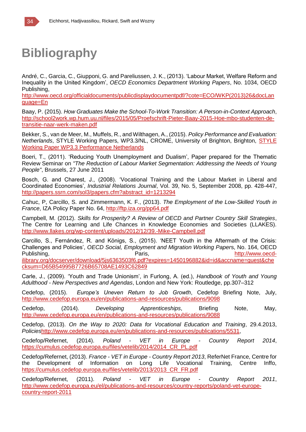# **Bibliography**

André, C., Garcia, C., Giupponi, G. and Pareliussen, J. K., (2013). 'Labour Market, Welfare Reform and Inequality in the United Kingdom', *OECD Economics Department Working Papers*, No. 1034, OECD Publishing,

http://www.oecd.org/officialdocuments/publicdisplaydocumentpdf/?cote=ECO/WKP(2013)26&docLan guage=En

Baay, P. (2015). *How Graduates Make the School-To-Work Transition: A Person-in-Context Approach*, http://school2work.wp.hum.uu.nl/files/2015/05/Proefschrift-Pieter-Baay-2015-Hoe-mbo-studenten-detransitie-naar-werk-maken.pdf

Bekker, S., van de Meer, M., Muffels, R., and Wilthagen, A., (2015). *Policy Performance and Evaluation: Netherlands*, STYLE Working Papers, WP3.3/NL, CROME, University of Brighton, Brighton, STYLE Working Paper WP3.3 Performance Netherlands

Boeri, T., (2011). 'Reducing Youth Unemployment and Dualism', Paper prepared for the Thematic Review Seminar on *"The Reduction of Labour Market Segmentation: Addressing the Needs of Young People"*, Brussels, 27 June 2011

Bosch, G. and Charest, J., (2008). 'Vocational Training and the Labour Market in Liberal and Coordinated Economies', *Industrial Relations Journal*, Vol. 39, No. 5, September 2008, pp. 428-447, http://papers.ssrn.com/sol3/papers.cfm?abstract\_id=1213294

Cahuc, P, Carcillo, S. and Zimmermann, K. F., (2013). *The Employment of the Low-Skilled Youth in France*, IZA Policy Paper No. 64, http://ftp.iza.org/pp64.pdf

Campbell, M. (2012). *Skills for Prosperity? A Review of OECD and Partner Country Skill Strategies*, The Centre for Learning and Life Chances in Knowledge Economies and Societies (LLAKES). http://www.llakes.org/wp-content/uploads/2012/12/39.-Mike-Campbell.pdf

Carcillo, S., Fernández, R. and Königs, S., (2015). 'NEET Youth in the Aftermath of the Crisis: Challenges and Policies', *OECD Social, Employment and Migration Working Paper*s, No. 164, OECD Publishing, The Communication of the Paris, The Paris, The Communication of the Publishing, The Paris, The Paris, The Paris, The Paris, The Paris, The Paris, The Paris, The Paris, The Paris, The Paris, The Paris, The Paris ilibrary.org/docserver/download/5js6363503f6.pdf?expires=1450196882&id=id&accname=guest&che

cksum=D65B54995B7726B65708AE1493C62849

Carle, J., (2009). 'Youth and Trade Unionism', in Furlong, A. (ed.), *Handbook of Youth and Young Adulthood - New Perspectives and Agendas*, London and New York: Routledge, pp.307–312

Cedefop, (2015). *Europe's Uneven Return to Job Growth*, Cedefop Briefing Note, July, http://www.cedefop.europa.eu/en/publications-and-resources/publications/9098

Cedefop, (2014). *Developing Apprenticeships*, Briefing Note, May, http://www.cedefop.europa.eu/en/publications-and-resources/publications/9088

Cedefop, (2013). *On the Way to 2020: Data for Vocational Education and Training*, 29.4.2013, *Policies*http://www.cedefop.europa.eu/en/publications-and-resources/publications/5531,

Cedefop/Refernet, (2014). *Poland - VET in Europe - Country Report 2014*, https://cumulus.cedefop.europa.eu/files/vetelib/2014/2014\_CR\_PL.pdf

Cedefop/Refernet, (2013). *France - VET in Europe - Country Report 2013*, ReferNet France, Centre for the Development of Information on Long Life Vocational Training, Centre Inffo, https://cumulus.cedefop.europa.eu/files/vetelib/2013/2013\_CR\_FR.pdf

Cedefop/Refernet, (2011). *Poland - VET in Europe - Country Report 2011*, http://www.cedefop.europa.eu/el/publications-and-resources/country-reports/poland-vet-europecountry-report-2011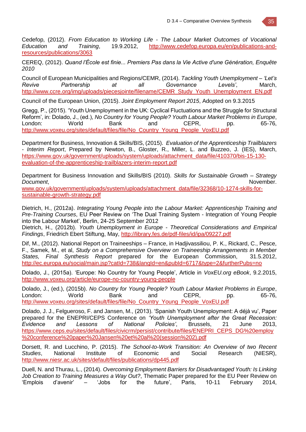Cedefop, (2012). *From Education to Working Life - The Labour Market Outcomes of Vocational Education and Training*, 19.9.2012, http://www.cedefop.europa.eu/en/publications-andresources/publications/3063

CEREQ, (2012). *Quand l'École est finie... Premiers Pas dans la Vie Active d'une Génération, Enquête 2010*

Council of European Municipalities and Regions/CEMR, (2014). *Tackling Youth Unemployment – 'Let's Revive Partnership at all Governance Levels'*, March, http://www.ccre.org/img/uploads/piecesjointe/filename/CEMR\_Study\_Youth\_Unemployment\_EN.pdf

Council of the European Union, (2015). *Joint Employment Report 2015*, Adopted on 9.3.2015

Gregg, P., (2015). 'Youth Unemployment in the UK: Cyclical Fluctuations and the Struggle for Structural Reform', in: Dolado, J., (ed.), *No Country for Young People? Youth Labour Market Problems in Europe*, London: World Bank and CEPR, pp. 65-76, http://www.voxeu.org/sites/default/files/file/No\_Country\_Young\_People\_VoxEU.pdf

Department for Business, Innovation & Skills/BIS, (2015). *Evaluation of the Apprenticeship Trailblazers - Interim Report*, Prepared by Newton, B., Gloster, R., Miller, L. and Buzzeo, J. (IES), March, https://www.gov.uk/government/uploads/system/uploads/attachment\_data/file/410370/bis-15-130 evaluation-of-the-apprenticeship-trailblazers-interim-report.pdf

Department for Business Innovation and Skills/BIS (2010). *Skills for Sustainable Growth – Strategy*  **Document**, November.

www.gov.uk/government/uploads/system/uploads/attachment\_data/file/32368/10-1274-skills-forsustainable-growth-strategy.pdf

Dietrich, H., (2012a). *Integrating Young People into the Labour Market: Apprenticeship Training and Pre-Training Courses*, EU Peer Review on 'The Dual Training System - Integration of Young People into the Labour Market', Berlin, 24-25 September 2012

Dietrich, H., (2012b). *Youth Unemployment in Europe - Theoretical Considerations and Empirical Findings*, Friedrich Ebert Stiftung, May, http://library.fes.de/pdf-files/id/ipa/09227.pdf

Dif, M., (2012). National Report on Traineeships – France, in Hadjivassiliou, P. K., Rickard, C., Pesce, F., Samek, M., et al, *Study on a Comprehensive Overview on Traineeship Arrangements in Member States, Final Synthesis Report* prepared for the European Commission, 31.5.2012, http://ec.europa.eu/social/main.jsp?catId=738&langId=en&pubId=6717&type=2&furtherPubs=no

Dolado, J., (2015a). 'Europe: No Country for Young People', Article in *VoxEU.org eBook*, 9.2.2015, http://www.voxeu.org/article/europe-no-country-young-people

Dolado, J., (ed.), (2015b). *No Country for Young People? Youth Labour Market Problems in Europe*, London: World Bank and CEPR, pp. 65-76, http://www.voxeu.org/sites/default/files/file/No\_Country\_Young\_People\_VoxEU.pdf

Dolado, J. J., Felgueroso, F. and Jansen, M., (2013). 'Spanish Youth Unemployment: A déjà vu', Paper prepared for the ENEPRI/CEPS Conference on *'Youth Unemployment after the Great Recession: Evidence and Lessons of National Policies'*, Brussels, 21 June 2013, https://www.ceps.eu/sites/default/files/civicrm/persist/contribute/files/ENEPRI\_CEPS\_DG%20employ %20conference%20paper%20Jansen%20et%20al%20(session%202).pdf

Dorsett, R. and Lucchino, P. (2015). *The School-to-Work Transition: An Overview of two Recent Studies*, National Institute of Economic and Social Research (NIESR), http://www.niesr.ac.uk/sites/default/files/publications/dp445.pdf

Duell, N. and Thurau, L., (2014). *Overcoming Employment Barriers for Disadvantaged Youth: Is Linking Job Creation to Training Measures a Way Out?*, Thematic Paper prepared for the EU Peer Review on 'Emplois d'avenir' – 'Jobs for the future', Paris, 10-11 February 2014,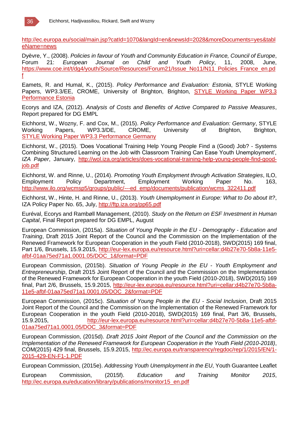

http://ec.europa.eu/social/main.jsp?catId=1070&langId=en&newsId=2028&moreDocuments=yes&tabl eName=news

Dyèvre, Y., (2008). *Policies in favour of Youth and Community Education in France, Council of Europe*, Forum 21: *European Journal on Child and Youth Policy*, 11, 2008, June, https://www.coe.int/t/dg4/youth/Source/Resources/Forum21/Issue\_No11/N11\_Policies\_France\_en.pd f

Eamets, R. and Humal, K., (2015). *Policy Performance and Evaluation: Estonia*, STYLE Working Papers, WP3.3/EE, CROME, University of Brighton, Brighton, STYLE Working Paper WP3.3 Performance Estonia

Ecorys and IZA, (2012). *Analysis of Costs and Benefits of Active Compared to Passive Measures*, Report prepared for DG EMPL

Eichhorst, W., Wozny, F. and Cox, M., (2015). *Policy Performance and Evaluation: Germany*, STYLE Working Papers, WP3.3/DE, CROME, University of Brighton, Brighton, STYLE Working Paper WP3.3 Performance Germany

Eichhorst, W., (2015). 'Does Vocational Training Help Young People Find a (Good) Job? - Systems Combining Structured Learning on the Job with Classroom Training Can Ease Youth Unemployment', *IZA Paper*, January, http://wol.iza.org/articles/does-vocational-training-help-young-people-find-goodjob.pdf

Eichhorst, W. and Rinne, U., (2014). *Promoting Youth Employment through Activation Strategies*, ILO, Employment Policy Department, Employment Working Paper No. 163, http://www.ilo.org/wcmsp5/groups/public/---ed\_emp/documents/publication/wcms\_322411.pdf

Eichhorst, W., Hinte, H. and Rinne, U., (2013). *Youth Unemployment in Europe: What to Do about It?*, IZA Policy Paper No. 65, July, http://ftp.iza.org/pp65.pdf

Euréval, Ecorys and Rambøll Management, (2010). *Study on the Return on ESF Investment in Human Capital*, Final Report prepared for DG EMPL, August

European Commission, (2015a). *Situation of Young People in the EU - Demography - Education and Training*, Draft 2015 Joint Report of the Council and the Commission on the Implementation of the Renewed Framework for European Cooperation in the youth Field (2010-2018), SWD(2015) 169 final, Part 1/6, Brussels, 15.9.2015, http://eur-lex.europa.eu/resource.html?uri=cellar:d4b27e70-5b8a-11e5 afbf-01aa75ed71a1.0001.05/DOC\_1&format=PDF

European Commission, (2015b). *Situation of Young People in the EU - Youth Employment and Entrepreneurship*, Draft 2015 Joint Report of the Council and the Commission on the Implementation of the Renewed Framework for European Cooperation in the youth Field (2010-2018), SWD(2015) 169 final, Part 2/6, Brussels, 15.9.2015, http://eur-lex.europa.eu/resource.html?uri=cellar:d4b27e70-5b8a-11e5-afbf-01aa75ed71a1.0001.05/DOC\_2&format=PDF

European Commission, (2015c). *Situation of Young People in the EU - Social Inclusion*, Draft 2015 Joint Report of the Council and the Commission on the Implementation of the Renewed Framework for European Cooperation in the youth Field (2010-2018), SWD(2015) 169 final, Part 3/6, Brussels, 15.9.2015, http://eur-lex.europa.eu/resource.html?uri=cellar:d4b27e70-5b8a-11e5-afbf-01aa75ed71a1.0001.05/DOC\_3&format=PDF

European Commission, (2015d). *Draft 2015 Joint Report of the Council and the Commission on the Implementation of the Renewed Framework for European Cooperation in the Youth Field (2010-2018)*, COM(2015) 429 final, Brussels, 15.9.2015, http://ec.europa.eu/transparency/regdoc/rep/1/2015/EN/1- 2015-429-EN-F1-1.PDF

European Commission, (2015e). *Addressing Youth Unemployment in the EU*, Youth Guarantee Leaflet

European Commission, (2015f). *Education and Training Monitor 2015*, http://ec.europa.eu/education/library/publications/monitor15\_en.pdf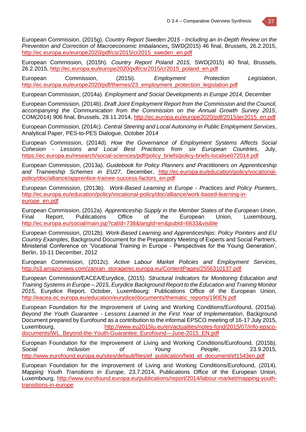European Commission, (2015g). *Country Report Sweden 2015 - Including an In-Depth Review on the Prevention and Correction of Macroeconomic Imbalances***,** SWD(2015) 46 final, Brussels, 26.2.2015, http://ec.europa.eu/europe2020/pdf/csr2015/cr2015\_sweden\_en.pdf

European Commission, (2015h). *Country Report Poland 2015,* SWD(2015) 40 final, Brussels, 26.2.2015, http://ec.europa.eu/europe2020/pdf/csr2015/cr2015\_poland\_en.pdf

European Commission, (2015i). *Employment Protection Legislation*, http://ec.europa.eu/europe2020/pdf/themes/23\_employment\_protection\_legislation.pdf

European Commission, (2014a). *Employment and Social Developments in Europe 2014*, December

European Commission, (2014b). *Draft Joint Employment Report from the Commission and the Council, accompanying the Communication from the Commission on the Annual Growth Survey 2015*, COM(2014) 906 final, Brussels, 28.11.2014, http://ec.europa.eu/europe2020/pdf/2015/jer2015\_en.pdf

European Commission, (2014c). *Central Steering and Local Autonomy in Public Employment Services*, Analytical Paper, PES-to-PES Dialogue, October 2014

European Commission, (2014d). *How the Governance of Employment Systems Affects Social Cohesion - Lessons and Local Best Practices from six European Countries*, July, https://ec.europa.eu/research/social-sciences/pdf/policy\_briefs/policy-briefs-localise072014.pdf

European Commission, (2013a). *Guidebook for Policy Planners and Practitioners on Apprenticeship and Traineeship Schemes in EU27*, December, http://ec.europa.eu/education/policy/vocationalpolicy/doc/alliance/apprentice-trainee-success-factors\_en.pdf

European Commission, (2013b). *Work-Based Learning in Europe - Practices and Policy Pointers*, http://ec.europa.eu/education/policy/vocational-policy/doc/alliance/work-based-learning-ineurope\_en.pdf

European Commission, (2012a). *Apprenticeship Supply in the Member States of the European Union*, Final Report, Publications Office of the European Union, Luxembourg, http://ec.europa.eu/social/main.jsp?catId=738&langId=en&pubId=6633&visible

European Commission, (2012b). *Work-Based Learning and Apprenticeships: Policy Pointers and EU Country Examples*, Background Document for the Preparatory Meeting of Experts and Social Partners, Ministerial Conference on 'Vocational Training in Europe - Perspectives for the Young Generation', Berlin, 10-11 December, 2012

European Commission, (2012c). *Active Labour Market Policies and Employment Services*, http://s3.amazonaws.com/zanran\_storage/ec.europa.eu/ContentPages/2556310137.pdf

European Commission/EACEA/Eurydice, (2015). *Structural Indicators for Monitoring Education and Training Systems in Europe – 2015, Eurydice Background Report to the Education and Training Monitor 2015*, Eurydice Report, October, Luxembourg: Publications Office of the European Union, http://eacea.ec.europa.eu/education/eurydice/documents/thematic\_reports/190EN.pdf

European Foundation for the Improvement of Living and Working Conditions/Eurofound, (2015a). *Beyond the Youth Guarantee - Lessons Learned in the First Year of Implementation*, Background Document prepared by Eurofound as a contribution to the informal EPSCO meeting of 16-17 July 2015, Luxembourg, http://www.eu2015lu.eu/en/actualites/notes-fond/2015/07/info-epscodocuments/WL\_Beyond-the-Youth-Guarantee\_Eurofound---June-2015\_EN.pdf

European Foundation for the Improvement of Living and Working Conditions/Eurofound, (2015b). *Social Inclusion of Young People*, 23.9.2015, http://www.eurofound.europa.eu/sites/default/files/ef\_publication/field\_ef\_document/ef1543en.pdf

European Foundation for the Improvement of Living and Working Conditions/Eurofound, (2014). *Mapping Youth Transitions in Europe*, 23.7.2014, Publications Office of the European Union, Luxembourg, http://www.eurofound.europa.eu/publications/report/2014/labour-market/mapping-youthtransitions-in-europe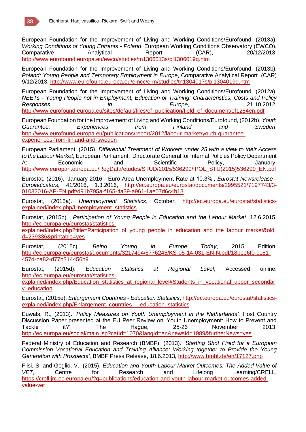

European Foundation for the Improvement of Living and Working Conditions/Eurofound, (2013a). *Working Conditions of Young Entrants - Poland*, European Working Conditions Observatory (EWCO), Comparative Analytical Report (CAR), 20/12/2013, http://www.eurofound.europa.eu/ewco/studies/tn1306013s/pl1306019q.htm

European Foundation for the Improvement of Living and Working Conditions/Eurofound, (2013b). *Poland: Young People and Temporary Employment in Europe*, Comparative Analytical Report (CAR) 9/12/2013, http://www.eurofound.europa.eu/emcc/erm/studies/tn1304017s/pl1304019q.htm

European Foundation for the Improvement of Living and Working Conditions/Eurofound, (2012a). *NEETs - Young People not in Employment, Education or Training: Characteristics, Costs and Policy Responses in Europe*, 21.10.2012, http://www.eurofound.europa.eu/sites/default/files/ef\_publication/field\_ef\_document/ef1254en.pdf

European Foundation for the Improvement of Living and Working Conditions/Eurofound, (2012b). *Youth Guarantee: Experiences from Finland and Sweden*, http://www.eurofound.europa.eu/publications/report/2012/labour-market/youth-guaranteeexperiences-from-finland-and-sweden

European Parliament, (2015). *Differential Treatment of Workers under 25 with a view to their Access to the Labour Market*, European Parliament, Directorate General for Internal Policies Policy Department A: Economic and Scientific Policy, January, http://www.europarl.europa.eu/RegData/etudes/STUD/2015/536299/IPOL\_STU(2015)536299\_EN.pdf

Eurostat, (2016). 'January 2016 - Euro Area Unemployment Rate at 10.3%', *Eurostat Newsrelease - Euroindicators*, 41/2016, 1.3.2016, http://ec.europa.eu/eurostat/documents/2995521/7197743/3- 01032016-AP-EN.pdf/d91b795a-f165-4a39-a961-1ae07d6c4b13

Eurostat, (2015a). *Unemployment Statistics*, October, http://ec.europa.eu/eurostat/statisticsexplained/index.php/Unemployment\_statistics

Eurostat, (2015b). *Participation of Young People in Education and the Labour Market*, 12.6.2015, http://ec.europa.eu/eurostat/statistics-

explained/index.php?title=Participation\_of\_young\_people\_in\_education\_and\_the\_labour\_market&oldi d=239336&printable=yes

Eurostat, (2015c). *Being Young in Europe Today*, 2015 Edition, http://ec.europa.eu/eurostat/documents/3217494/6776245/KS-05-14-031-EN-N.pdf/18bee6f0-c181- 457d-ba82-d77b314456b9

Eurostat, (2015d). *Education Statistics at Regional Level*, Accessed online: http://ec.europa.eu/eurostat/statistics-

explained/index.php/Education\_statistics\_at\_regional\_level#Students\_in\_vocational\_upper\_secondar y\_education

Eurostat, (2015e). *Enlargement Countries - Education Statistics*, http://ec.europa.eu/eurostat/statisticsexplained/index.php/Enlargement\_countries - education\_statistics

Euwals, R., (2013). *'Policy Measures on Youth Unemployment in the Netherlands'*, Host Country Discussion Paper presented at the EU Peer Review on 'Youth Unemployment: How to Prevent and Tackle it?', The Hague, 25-26 November 2013, http://ec.europa.eu/social/main.jsp?catId=1070&langId=en&newsId=1989&furtherNews=yes

Federal Ministry of Education and Research (BMBF), (2013). *'Starting Shot Fired for a European Commission Vocational Education and Training Alliance: Working together to Provide the Young Generation with Prospects'*, BMBF Press Release, 18.6.2013, http://www.bmbf.de/en/17127.php

Flisi, S. and Goglio, V., (2015). *Education and Youth Labour Market Outcomes: The Added Value of VET*, Centre for Research and Lifelong Learning/CRELL, https://crell.jrc.ec.europa.eu/?q=publications/education-and-youth-labour-market-outcomes-addedvalue-vet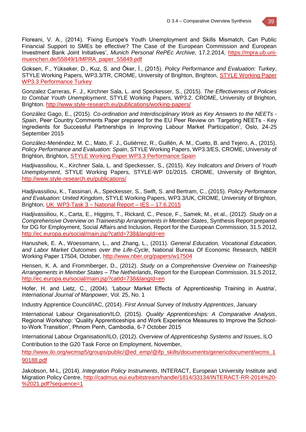Floreani, V. A., (2014). 'Fixing Europe's Youth Unemployment and Skills Mismatch, Can Public Financial Support to SMEs be effective? The Case of the European Commission and European Investment Bank Joint Initiatives', *Munich Personal RePEc Archive*, 17.2.2014, https://mpra.ub.unimuenchen.de/55849/1/MPRA\_paper\_55849.pdf

Goksen, F., Yükseker, D., Kuz, S. and Öker, İ., (2015). *Policy Performance and Evaluation: Turkey*, STYLE Working Papers, WP3.3/TR, CROME, University of Brighton, Brighton, STYLE Working Paper WP3.3 Performance Turkey

Gonzalez Carreras, F. J., Kirchner Sala, L. and Speckesser, S., (2015). *The Effectiveness of Policies to Combat Youth Unemployment*, STYLE Working Papers, WP3.2. CROME, University of Brighton, Brighton. http://www.style-research.eu/publications/working-papers/

González Gago, E., (2015). *Co-ordination and Interdisciplinary Work as Key Answers to the NEETs - Spain*, Peer Country Comments Paper prepared for the EU Peer Review on 'Targeting NEETs - Key Ingredients for Successful Partnerships in Improving Labour Market Participation', Oslo, 24-25 September 2015

González-Menéndez, M. C., Mato, F. J., Gutiérrez, R., Guillén, A. M., Cueto, B. and Tejero, A., (2015). *Policy Performance and Evaluation: Spain*, STYLE Working Papers, WP3.3/ES, CROME, University of Brighton, Brighton, STYLE Working Paper WP3.3 Performance Spain

Hadjivassiliou, K., Kirchner Sala, L. and Speckesser, S., (2015). *Key Indicators and Drivers of Youth Unemployment*, STYLE Working Papers, STYLE-WP 01/2015. CROME, University of Brighton, http://www.style-research.eu/publications/

Hadjivassiliou, K., Tassinari, A., Speckesser, S., Swift, S. and Bertram, C., (2015). *Policy Performance and Evaluation: United Kingdom*, STYLE Working Papers, WP3.3/UK, CROME, University of Brighton, Brighton, UK\_WP3-Task 3 – National Report – IES – 17.6.2015

Hadjivassiliou, K., Carta, E., Higgins, T., Rickard, C., Pesce, F., Samek, M., et al., (2012). *Study on a Comprehensive Overview on Traineeship Arrangements in Member States*, Synthesis Report prepared for DG for Employment, Social Affairs and Inclusion, Report for the European Commission, 31.5.2012, http://ec.europa.eu/social/main.jsp?catId=738&langId=en

Hanushek, E. A., Woessmann, L., and Zhang, L., (2011). *General Education, Vocational Education, and Labor Market Outcomes over the Life-Cycle*, National Bureau Of Economic Research, NBER Working Paper 17504, October, http://www.nber.org/papers/w17504

Hensen, K. A. and Frommberger, D., (2012). *Study on a Comprehensive Overview on Traineeship Arrangements in Member States – The Netherlands*, Report for the European Commission, 31.5.2012, http://ec.europa.eu/social/main.jsp?catId=738&langId=en

Hofer, H. and Lietz, C., (2004). 'Labour Market Effects of Apprenticeship Training in Austria', *International Journal of Manpower*, Vol. 25, No. 1

Industry Apprentice Council/IAC, (2014). *First Annual Survey of Industry Apprentices*, January

International Labour Organisation/ILO, (2015). *Quality Apprenticeships: A Comparative Analysis*, Regional Workshop: 'Quality Apprenticeships and Work Experience Measures to Improve the Schoolto-Work Transition', Phnom Penh, Cambodia, 6-7 October 2015

International Labour Organisation/ILO, (2012). *Overview of Apprenticeship Systems and Issues*, ILO Contribution to the G20 Task Force on Employment, November,

http://www.ilo.org/wcmsp5/groups/public/@ed\_emp/@ifp\_skills/documents/genericdocument/wcms\_1 90188.pdf

Jakobson, M-L, (2014). *Integration Policy Instruments*, INTERACT, European University Institute and Migration Policy Centre, http://cadmus.eui.eu/bitstream/handle/1814/33134/INTERACT-RR-2014%20- %2021.pdf?sequence=1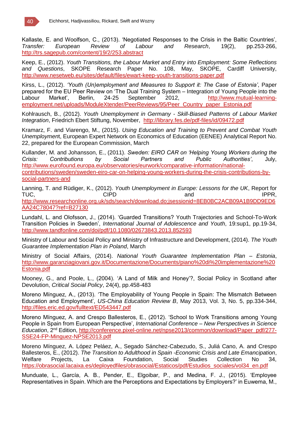

Kallaste, E. and Woolfson, C., (2013). 'Negotiated Responses to the Crisis in the Baltic Countries', *Transfer: European Review of Labour and Research*, 19(2), pp.253-266, http://trs.sagepub.com/content/19/2/253.abstract

Keep, E., (2012). *Youth Transitions, the Labour Market and Entry into Employment: Some Reflections and Questions*, SKOPE Research Paper No. 108, May, SKOPE, Cardiff University, http://www.nesetweb.eu/sites/default/files/ewart-keep-youth-transitions-paper.pdf

Kirss, L., (2012). *'Youth (Un)employment and Measures to Support it: The Case of Estonia'*, Paper prepared for the EU Peer Review on 'The Dual Training System – Integration of Young People into the<br>Labour Market' Berlin. 24-25 September 2012. http://www.mutual-learning-Labour Market', Berlin, 24-25 September 2012, http://www.mutual-learningemployment.net/uploads/ModuleXtender/PeerReviews/95/Peer\_Country\_paper\_Estonia.pdf

Kohlrausch, B., (2012). *Youth Unemployment in Germany - Skill-Biased Patterns of Labour Market Integration*, Friedrich Ebert Stiftung, November, http://library.fes.de/pdf-files/id/09472.pdf

Kramarz, F. and Viarengo, M., (2015). *Using Education and Training to Prevent and Combat Youth Unemploymen*t, European Expert Network on Economics of Education (EENEE) Analytical Report No. 22, prepared for the European Commission, March

Kullander, M. and Johansson, E., (2011). *Sweden: EIRO CAR on 'Helping Young Workers during the Crisis: Contributions by Social Partners and Public Authorities'*, July, http://www.eurofound.europa.eu/observatories/eurwork/comparative-information/nationalcontributions/sweden/sweden-eiro-car-on-helping-young-workers-during-the-crisis-contributions-bysocial-partners-and

Lanning, T. and Rüdiger, K., (2012). *Youth Unemployment in Europe: Lessons for the UK*, Report for TUC, CIPD contract the contract of the contract of the contract of the contract of the contract of the contract of the contract of the contract of the contract of the contract of the contract of the contract of the contrac http://www.researchonline.org.uk/sds/search/download.do;jsessionid=8EB0BC2ACB09A1B9DD9ED6 AA24C78047?ref=B27130

Lundahl, L. and Olofsson, J., (2014). 'Guarded Transitions? Youth Trajectories and School-To-Work Transition Policies in Sweden', *International Journal of Adolescence and Youth*, 19:sup1, pp.19-34, http://www.tandfonline.com/doi/pdf/10.1080/02673843.2013.852593

Ministry of Labour and Social Policy and Ministry of Infrastructure and Development, (2014). *The Youth Guarantee Implementation Plan in Poland*, March

Ministry of Social Affairs, (2014). *National Youth Guarantee Implementation Plan – Estonia*, http://www.garanziagiovani.gov.it/Documentazione/Documents/piano%20di%20implementazione%20 Estonia.pdf

Mooney, G., and Poole, L., (2004). 'A Land of Milk and Honey'?, Social Policy in Scotland after Devolution, *Critical Social Policy*, 24(4), pp.458-483

Moreno Mínguez, A., (2013). 'The Employability of Young People in Spain: The Mismatch Between Education and Employment', *US-China Education Review B*, May 2013, Vol. 3, No. 5, pp.334-344, http://files.eric.ed.gov/fulltext/ED543447.pdf

Moreno Mínguez, A. and Crespo Ballesteros, E., (2012). 'School to Work Transitions among Young People in Spain from European Perspective', *International Conference – New Perspectives in Science Education*, 2nd Edition, http://conference.pixel-online.net/npse2013/common/download/Paper\_pdf/277- SSE24-FP-Minguez-NPSE2013.pdf

Moreno Mínguez, A. López Peláez, A., Segado Sánchez-Cabezudo, S., Juliá Cano, A. and Crespo Ballesteros, E., (2012). *The Transition to Adulthood in Spain -Economic Crisis and Late Emancipation*, Welfare Projects, La Caixa Foundation, Social Studies Collection No 34, https://obrasocial.lacaixa.es/deployedfiles/obrasocial/Estaticos/pdf/Estudios\_sociales/vol34\_en.pdf

Munduate, L., García, A. B., Pender, E., Elgoibar, P., and Medina, F. J., (2015). 'Employee Representatives in Spain. Which are the Perceptions and Expectations by Employers?' in Euwema, M.,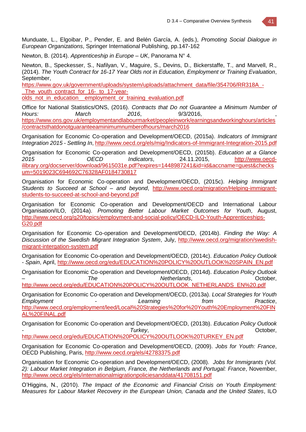Munduate, L., Elgoibar, P., Pender, E. and Belén García, A. (eds.), *Promoting Social Dialogue in European Organizations*, Springer International Publishing, pp.147-162

Newton, B. (2014). *Apprenticeship in Europe – UK*, Panorama N° 4.

Newton, B., Speckesser, S., Nafilyan, V., Maguire, S., Devins, D., Bickerstaffe, T., and Marvell, R., (2014). *The Youth Contract for 16-17 Year Olds not in Education, Employment or Training Evaluation*, September,

https://www.gov.uk/government/uploads/system/uploads/attachment\_data/file/354706/RR318A\_-The youth contract for 16- to 17-year-

olds\_not\_in\_education\_\_employment\_or\_training\_evaluation.pdf

Office for National Statistics/ONS, (2016). *Contracts that Do not Guarantee a Minimum Number of Hours: March 2016*, 9/3/2016, , https://www.ons.gov.uk/employmentandlabourmarket/peopleinwork/earningsandworkinghours/articles /contractsthatdonotguaranteeaminimumnumberofhours/march2016

Organisation for Economic Co-operation and Development/OECD, (2015a). *Indicators of Immigrant Integration 2015 - Settling In*, http://www.oecd.org/els/mig/Indicators-of-Immigrant-Integration-2015.pdf

Organisation for Economic Co-operation and Development/OECD, (2015b). *Education at a Glance 2015 - OECD Indicators*, 24.11.2015, http://www.oecdilibrary.org/docserver/download/9615031e.pdf?expires=1448987241&id=id&accname=guest&checks um=5019023C694692C76328AF0184730817

Organisation for Economic Co-operation and Development/OECD, (2015c). *Helping Immigrant Students to Succeed at School – and beyond*, http://www.oecd.org/migration/Helping-immigrantstudents-to-succeed-at-school-and-beyond.pdf

Organisation for Economic Co-operation and Development/OECD and International Labour Organisation/ILO, (2014a). *Promoting Better Labour Market Outcomes for Youth*, August, http://www.oecd.org/g20/topics/employment-and-social-policy/OECD-ILO-Youth-Apprenticeships-G20.pdf

Organisation for Economic Co-operation and Development/OECD, (2014b). *Finding the Way: A Discussion of the Swedish Migrant Integration System*, July, http://www.oecd.org/migration/swedishmigrant-intergation-system.pdf

Organisation for Economic Co-operation and Development/OECD, (2014c). *Education Policy Outlook - Spain*, April, http://www.oecd.org/edu/EDUCATION%20POLICY%20OUTLOOK%20SPAIN\_EN.pdf

Organisation for Economic Co-operation and Development/OECD, (2014d). *Education Policy Outlook – The Netherlands*, October, http://www.oecd.org/edu/EDUCATION%20POLICY%20OUTLOOK\_NETHERLANDS\_EN%20.pdf

Organisation for Economic Co-operation and Development/OECD, (2013a). *Local Strategies for Youth Employment - Learning from Practice*, http://www.oecd.org/employment/leed/Local%20Strategies%20for%20Youth%20Employment%20FIN AL%20FINAL.pdf

Organisation for Economic Co-operation and Development/OECD, (2013b). *Education Policy Outlook - Turkey*, October, http://www.oecd.org/edu/EDUCATION%20POLICY%20OUTLOOK%20TURKEY\_EN.pdf

Organisation for Economic Co-operation and Development/OECD, (2009). *Jobs for Youth: France*, OECD Publishing, Paris, http://www.oecd.org/els/42783375.pdf

Organisation for Economic Co-operation and Development/OECD, (2008). *Jobs for Immigrants (Vol. 2): Labour Market Integration in Belgium, France, the Netherlands and Portugal: France*, November, http://www.oecd.org/els/internationalmigrationpoliciesanddata/41708151.pdf

O'Higgins, N., (2010). *The Impact of the Economic and Financial Crisis on Youth Employment: Measures for Labour Market Recovery in the European Union, Canada and the United States*, ILO

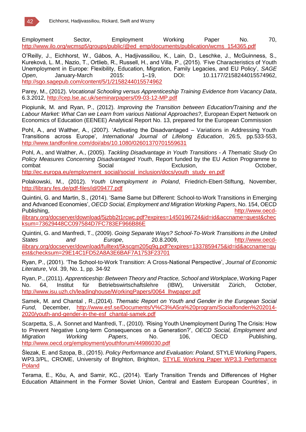

Employment Sector, Employment Working Paper No. 70, http://www.ilo.org/wcmsp5/groups/public/@ed\_emp/documents/publication/wcms\_154365.pdf

O'Reilly, J., Eichhorst, W., Gábos, A., Hadjivassiliou, K., Lain, D., Leschke, J., McGuinness, S., Kureková, L. M., Nazio, T., Ortlieb, R., Russell, H., and Villa, P., (2015). 'Five Characteristics of Youth Unemployment in Europe: Flexibility, Education, Migration, Family Legacies, and EU Policy', *SAGE Open*, January-March 2015: 1–19, DOI: 10.1177/2158244015574962, http://sgo.sagepub.com/content/5/1/2158244015574962

Parey, M., (2012). *Vocational Schooling versus Apprenticeship Training Evidence from Vacancy Data*, 6.3.2012, http://cep.lse.ac.uk/seminarpapers/09-03-12-MP.pdf

Piopiunik, M. and Ryan, P., (2012). *Improving the Transition between Education/Training and the Labour Market: What Can we Learn from various National Approaches?*, European Expert Network on Economics of Education (EENEE) Analytical Report No. 13, prepared for the European Commission

Pohl, A., and Walther, A., (2007). 'Activating the Disadvantaged – Variations in Addressing Youth Transitions across Europe', *International Journal of Lifelong Education*, 26:5, pp.533-553, http://www.tandfonline.com/doi/abs/10.1080/02601370701559631

Pohl, A., and Walther, A., (2005). *Tackling Disadvantage in Youth Transitions - A Thematic Study On Policy Measures Concerning Disadvantaged Youth*, Report funded by the EU Action Programme to combat Combat Combat Social Social Exclusion, Combat Cotober, http://ec.europa.eu/employment\_social/social\_inclusion/docs/youth\_study\_en.pdf

Polakowski, M., (2012). *Youth Unemployment in Poland*, Friedrich-Ebert-Stiftung, November, http://library.fes.de/pdf-files/id/09477.pdf

Quintini, G. and Martin, S., (2014). 'Same Same but Different: School-to-Work Transitions in Emerging and Advanced Economies', *OECD Social, Employment and Migration Working Papers*, No. 154, OECD Publishing, http://www.oecd-

ilibrary.org/docserver/download/5jzbb2t1rcwc.pdf?expires=1450196724&id=id&accname=guest&chec ksum=73629448CC097584D7FC783EF966B86E

Quintini, G. and Manfredi, T., (2009). *Going Separate Ways? School-To-Work Transitions in the United States and Europe*, 20.8.2009, http://www.oecdilibrary.org/docserver/download/fulltext/5kscgm205q9q.pdf?expires=1337859475&id=id&accname=gu est&checksum=29E14C1FD52A8A3E6BAF7A1753F23701

Ryan, P., (2001). 'The School-to-Work Transition: A Cross-National Perspective', *Journal of Economic Literature*, Vol. 39, No. 1, pp. 34-92

Ryan, P., (2011). *Apprenticeship: Between Theory and Practice, School and Workplace*, Working Paper No. 64, Institut für Betriebswirtschaftslehre (IBW), Universität Zürich, October, http://www.isu.uzh.ch/leadinghouse/WorkingPapers/0064\_lhwpaper.pdf

Samek, M. and Chantal , R.,(2014). *Thematic Report on Youth and Gender in the European Social Fund*, December, http://www.esf.se/Documents/V%C3%A5ra%20program/Socialfonden%202014- 2020/youth-and-gender-in-the-esf\_chantal-samek.pdf

Scarpetta, S., A. Sonnet and Manfredi, T., (2010). 'Rising Youth Unemployment During The Crisis: How to Prevent Negative Long-term Consequences on a Generation?', *OECD Social, Employment and Migration Working Papers*, No. 106, OECD Publishing, http://www.oecd.org/employment/youthforum/44986030.pdf

Ślezak, E. and Szopa, B., (2015). *Policy Performance and Evaluation: Poland*, STYLE Working Papers, WP3.3/PL, CROME, University of Brighton, Brighton, STYLE Working Paper WP3.3 Performance Poland

Terama, E., Kõu, A, and Samir, KC., (2014). 'Early Transition Trends and Differences of Higher Education Attainment in the Former Soviet Union, Central and Eastern European Countries', in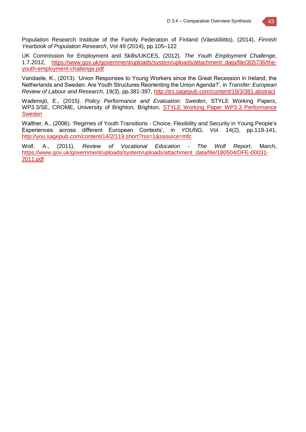

Population Research Institute of the Family Federation of Finland (Väestöliitto), (2014), *Finnish Yearbook of Population Research*, Vol 49 (2014), pp.105–122

UK Commission for Employment and Skills/UKCES, (2012). *The Youth Employment Challenge*, 1.7.2012, https://www.gov.uk/government/uploads/system/uploads/attachment\_data/file/305736/theyouth-employment-challenge.pdf

Vandaele, K., (2013). 'Union Responses to Young Workers since the Great Recession in Ireland, the Netherlands and Sweden: Are Youth Structures Reorienting the Union Agenda?', in *Transfer: European Review of Labour and Research*, 19(3), pp.381-397, http://trs.sagepub.com/content/19/3/381.abstract

Wadensjö, E., (2015). *Policy Performance and Evaluation: Sweden*, STYLE Working Papers, WP3.3/SE, CROME, University of Brighton, Brighton, STYLE Working Paper WP3.3 Performance Sweden

Walther, A., (2006). 'Regimes of Youth Transitions - Choice, Flexibility and Security in Young People's Experiences across different European Contexts', in *YOUNG*, Vol. 14(2), pp.119-141, http://you.sagepub.com/content/14/2/119.short?rss=1&ssource=mfc

Wolf, A., (2011). *Review of Vocational Education - The Wolf Report*, March, https://www.gov.uk/government/uploads/system/uploads/attachment\_data/file/180504/DFE-00031- 2011.pdf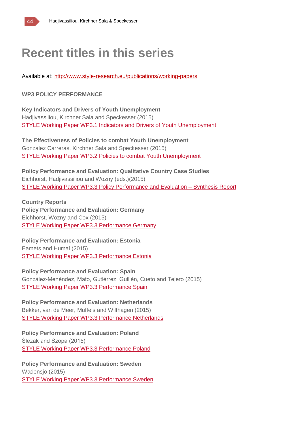

## **Recent titles in this series**

Available at: http://www.style-research.eu/publications/working-papers

### **WP3 POLICY PERFORMANCE**

**Key Indicators and Drivers of Youth Unemployment** Hadjivassiliou, Kirchner Sala and Speckesser (2015) STYLE Working Paper WP3.1 Indicators and Drivers of Youth Unemployment

**The Effectiveness of Policies to combat Youth Unemployment** Gonzalez Carreras, Kirchner Sala and Speckesser (2015) STYLE Working Paper WP3.2 Policies to combat Youth Unemployment

**Policy Performance and Evaluation: Qualitative Country Case Studies** Eichhorst, Hadjivassiliou and Wozny (eds.)(2015) STYLE Working Paper WP3.3 Policy Performance and Evaluation – Synthesis Report

**Country Reports Policy Performance and Evaluation: Germany** Eichhorst, Wozny and Cox (2015) STYLE Working Paper WP3.3 Performance Germany

**Policy Performance and Evaluation: Estonia** Eamets and Humal (2015) STYLE Working Paper WP3.3 Performance Estonia

**Policy Performance and Evaluation: Spain** González-Menéndez, Mato, Gutiérrez, Guillén, Cueto and Tejero (2015) STYLE Working Paper WP3.3 Performance Spain

**Policy Performance and Evaluation: Netherlands** Bekker, van de Meer, Muffels and Wilthagen (2015) STYLE Working Paper WP3.3 Performance Netherlands

**Policy Performance and Evaluation: Poland** Ślezak and Szopa (2015) STYLE Working Paper WP3.3 Performance Poland

**Policy Performance and Evaluation: Sweden** Wadensjö (2015) STYLE Working Paper WP3.3 Performance Sweden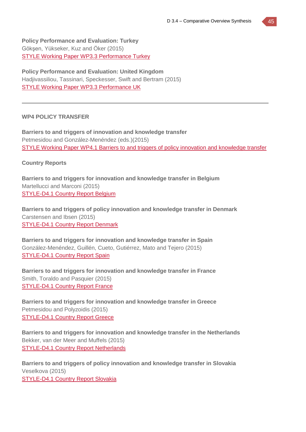**Policy Performance and Evaluation: Turkey** Gökşen, Yükseker, Kuz and Öker (2015) STYLE Working Paper WP3.3 Performance Turkey

**Policy Performance and Evaluation: United Kingdom** Hadjivassiliou, Tassinari, Speckesser, Swift and Bertram (2015) STYLE Working Paper WP3.3 Performance UK

#### **WP4 POLICY TRANSFER**

**Barriers to and triggers of innovation and knowledge transfer** Petmesidou and González-Menéndez (eds.)(2015) STYLE Working Paper WP4.1 Barriers to and triggers of policy innovation and knowledge transfer

#### **Country Reports**

**Barriers to and triggers for innovation and knowledge transfer in Belgium** Martellucci and Marconi (2015) STYLE-D4.1 Country Report Belgium

**Barriers to and triggers of policy innovation and knowledge transfer in Denmark** Carstensen and Ibsen (2015) STYLE-D4.1 Country Report Denmark

**Barriers to and triggers for innovation and knowledge transfer in Spain** González-Menéndez, Guillén, Cueto, Gutiérrez, Mato and Tejero (2015) STYLE-D4.1 Country Report Spain

**Barriers to and triggers for innovation and knowledge transfer in France** Smith, Toraldo and Pasquier (2015) STYLE-D4.1 Country Report France

**Barriers to and triggers for innovation and knowledge transfer in Greece** Petmesidou and Polyzoidis (2015) STYLE-D4.1 Country Report Greece

**Barriers to and triggers for innovation and knowledge transfer in the Netherlands** Bekker, van der Meer and Muffels (2015) STYLE-D4.1 Country Report Netherlands

**Barriers to and triggers of policy innovation and knowledge transfer in Slovakia** Veselkova (2015) STYLE-D4.1 Country Report Slovakia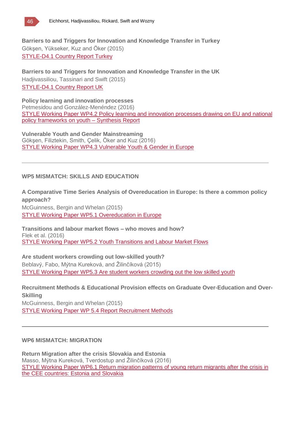

**Barriers to and Triggers for Innovation and Knowledge Transfer in Turkey** Gökşen, Yükseker, Kuz and Öker (2015) STYLE-D4.1 Country Report Turkey

**Barriers to and Triggers for Innovation and Knowledge Transfer in the UK** Hadjivassiliou, Tassinari and Swift (2015) STYLE-D4.1 Country Report UK

**Policy learning and innovation processes** Petmesidou and González-Menéndez (2016) STYLE Working Paper WP4.2 Policy learning and innovation processes drawing on EU and national policy frameworks on youth – Synthesis Report

**Vulnerable Youth and Gender Mainstreaming** Gökşen, Filiztekin, Smith, Çelik, Öker and Kuz (2016) STYLE Working Paper WP4.3 Vulnerable Youth & Gender in Europe

### **WP5 MISMATCH: SKILLS AND EDUCATION**

**A Comparative Time Series Analysis of Overeducation in Europe: Is there a common policy approach?** McGuinness, Bergin and Whelan (2015)

STYLE Working Paper WP5.1 Overeducation in Europe

**Transitions and labour market flows – who moves and how?** Flek et al. (2016) STYLE Working Paper WP5.2 Youth Transitions and Labour Market Flows

**Are student workers crowding out low-skilled youth?** Beblavý, Fabo, Mýtna Kureková, and Žilinčíková (2015) STYLE Working Paper WP5.3 Are student workers crowding out the low skilled youth

**Recruitment Methods & Educational Provision effects on Graduate Over-Education and Over-Skilling** McGuinness, Bergin and Whelan (2015) STYLE Working Paper WP 5.4 Report Recruitment Methods

#### **WP6 MISMATCH: MIGRATION**

**Return Migration after the crisis Slovakia and Estonia** Masso, Mýtna Kureková, Tverdostup and Žilinčíková (2016) STYLE Working Paper WP6.1 Return migration patterns of young return migrants after the crisis in the CEE countries: Estonia and Slovakia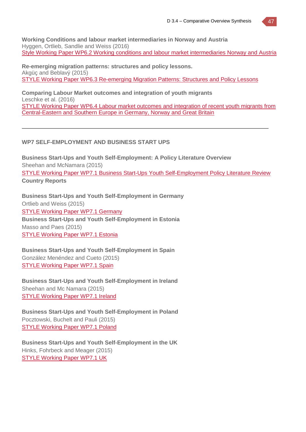**Working Conditions and labour market intermediaries in Norway and Austria** Hyggen, Ortlieb, Sandlie and Weiss (2016) Style Working Paper WP6.2 Working conditions and labour market intermediaries Norway and Austria

**Re-emerging migration patterns: structures and policy lessons.** Akgüç and Beblavý (2015) STYLE Working Paper WP6.3 Re-emerging Migration Patterns: Structures and Policy Lessons

**Comparing Labour Market outcomes and integration of youth migrants** Leschke et al. (2016) STYLE Working Paper WP6.4 Labour market outcomes and integration of recent youth migrants from Central-Eastern and Southern Europe in Germany, Norway and Great Britain

### **WP7 SELF-EMPLOYMENT AND BUSINESS START UPS**

**Business Start-Ups and Youth Self-Employment: A Policy Literature Overview** Sheehan and McNamara (2015) STYLE Working Paper WP7.1 Business Start-Ups Youth Self-Employment Policy Literature Review **Country Reports**

**Business Start-Ups and Youth Self-Employment in Germany** Ortlieb and Weiss (2015) STYLE Working Paper WP7.1 Germany **Business Start-Ups and Youth Self-Employment in Estonia** Masso and Paes (2015) STYLE Working Paper WP7.1 Estonia

**Business Start-Ups and Youth Self-Employment in Spain** González Menéndez and Cueto (2015) STYLE Working Paper WP7.1 Spain

**Business Start-Ups and Youth Self-Employment in Ireland** Sheehan and Mc Namara (2015) STYLE Working Paper WP7.1 Ireland

**Business Start-Ups and Youth Self-Employment in Poland** Pocztowski, Buchelt and Pauli (2015) STYLE Working Paper WP7.1 Poland

**Business Start-Ups and Youth Self-Employment in the UK** Hinks, Fohrbeck and Meager (2015) STYLE Working Paper WP7.1 UK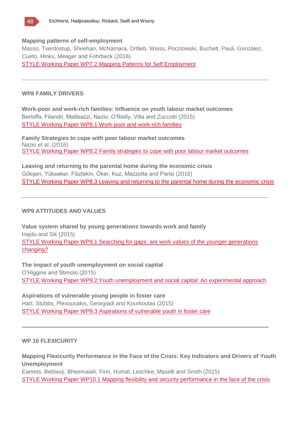

#### **Mapping patterns of self-employment**

Masso, Tverdostup, Sheehan, McNamara, Ortlieb, Weiss, Pocztowski, Buchelt, Pauli, González, Cueto, Hinks, Meager and Fohrbeck (2016) STYLE Working Paper WP7.2 Mapping Patterns for Self Employment

#### **WP8 FAMILY DRIVERS**

**Work-poor and work-rich families: Influence on youth labour market outcomes** Berloffa, Filandri, Matteazzi, Nazio, O'Reilly, Villa and Zuccotti (2015) STYLE Working Paper WP8.1 Work-poor and work-rich families

**Family Strategies to cope with poor labour market outcomes** Nazio et al. (2016) STYLE Working Paper WP8.2 Family strategies to cope with poor labour market outcomes

**Leaving and returning to the parental home during the economic crisis** Gökşen, Yükseker, Filiztekin, Öker, Kuz, Mazzotta and Parisi (2016) STYLE Working Paper WP8.3 Leaving and returning to the parental home during the economic crisis

#### **WP9 ATTITUDES AND VALUES**

**Value system shared by young generations towards work and family** Hajdu and Sik (2015) STYLE Working Paper WP9.1 Searching for gaps: are work values of the younger generations changing?

**The impact of youth unemployment on social capital** O'Higgins and Stimolo (2015) STYLE Working Paper WP9.2 Youth unemployment and social capital: An experimental approach

**Aspirations of vulnerable young people in foster care** Hart, Stubbs, Plexousakis, Georgiadi and Kourkoutas (2015) STYLE Working Paper WP9.3 Aspirations of vulnerable youth in foster care

#### **WP 10 FLEXICURITY**

**Mapping Flexicurity Performance in the Face of the Crisis: Key Indicators and Drivers of Youth Unemployment**

Eamets, Beblavý, Bheemaiah, Finn, Humal, Leschke, Maselli and Smith (2015) STYLE Working Paper WP10.1 Mapping flexibility and security performance in the face of the crisis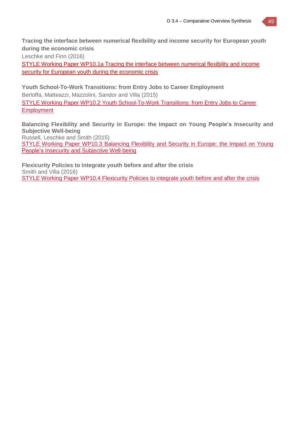**Tracing the interface between numerical flexibility and income security for European youth during the economic crisis**

Leschke and Finn (2016)

STYLE Working Paper WP10.1a Tracing the interface between numerical flexibility and income security for European youth during the economic crisis

**Youth School-To-Work Transitions: from Entry Jobs to Career Employment** Berloffa, Matteazzi, Mazzolini, Sandor and Villa (2015) STYLE Working Paper WP10.2 Youth School-To-Work Transitions: from Entry Jobs to Career **Employment** 

**Balancing Flexibility and Security in Europe: the Impact on Young People's Insecurity and Subjective Well-being** Russell, Leschke and Smith (2015) STYLE Working Paper WP10.3 Balancing Flexibility and Security in Europe: the Impact on Young People's Insecurity and Subjective Well-being

**Flexicurity Policies to integrate youth before and after the crisis** Smith and Villa (2016) STYLE Working Paper WP10.4 Flexicurity Policies to integrate youth before and after the crisis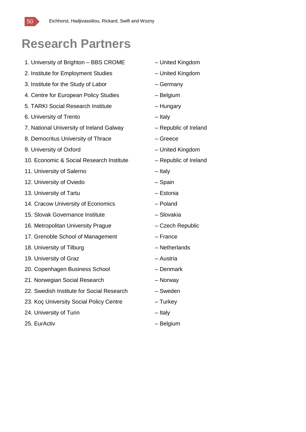

## **Research Partners**

- 1. University of Brighton BBS CROME United Kingdom
- 2. Institute for Employment Studies United Kingdom
- 3. Institute for the Study of Labor Germany
- 4. Centre for European Policy Studies Belgium
- 5. TARKI Social Research Institute Hungary
- 6. University of Trento Italy
- 7. National University of Ireland Galway Republic of Ireland
- 8. Democritus University of Thrace Fig. 2. The Greece
- 9. University of Oxford United Kingdom
- 10. Economic & Social Research Institute Republic of Ireland
- 11. University of Salerno **Fig. 2018** Italy
- 12. University of Oviedo Chain Spain
- 13. University of Tartu **Facture 13. University of Tartu Facture 13. In the Latin America**  $-$  Estonia
- 14. Cracow University of Economics Poland
- 15. Slovak Governance Institute Slovakia
- 16. Metropolitan University Prague Czech Republic
- 17. Grenoble School of Management France
- 18. University of Tilburg and The Control of Tilburg and The Netherlands
- 19. University of Graz **Face Contract Contract Contract Austria** Austria
- 20. Copenhagen Business School Denmark
- 21. Norwegian Social Research Norway
- 22. Swedish Institute for Social Research Sweden
- 23. Koç University Social Policy Centre Turkey
- 24. University of Turin **Example 24.** University of Turin
- 25. EurActiv Contractive Belgium
- 
- 
- 
- 
- 
- 
- 
- 
- 
- 
- 
- 
- 
- 
- 
- 
- 
- 
- 
- 
- 
- 
- 
- 
-